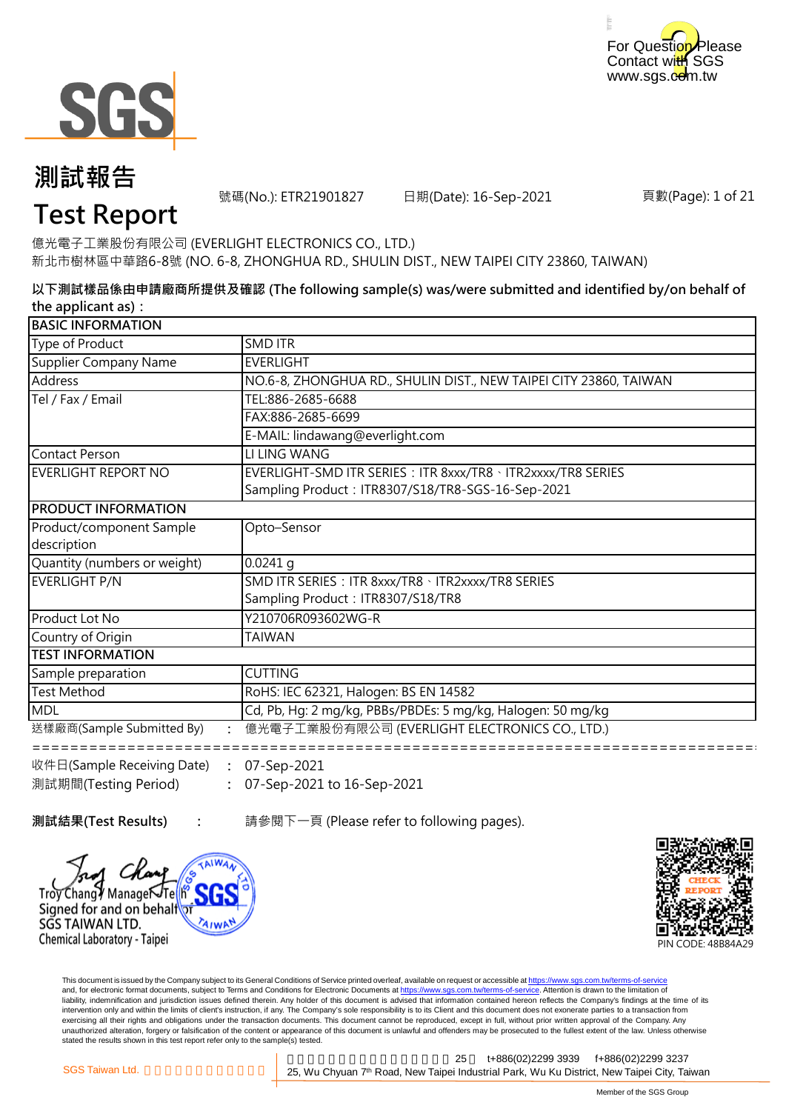



號碼(No.): ETR21901827 日期(Date): 16-Sep-2021

頁數(Page): 1 of 21

## **Test Report**

億光電子工業股份有限公司 (EVERLIGHT ELECTRONICS CO., LTD.) 新北市樹林區中華路6-8號 (NO. 6-8, ZHONGHUA RD., SHULIN DIST., NEW TAIPEI CITY 23860, TAIWAN)

**以下測試樣品係由申請廠商所提供及確認 (The following sample(s) was/were submitted and identified by/on behalf of the applicant as):**

| <b>BASIC INFORMATION</b>                                                             |                                                                                                                   |  |
|--------------------------------------------------------------------------------------|-------------------------------------------------------------------------------------------------------------------|--|
| Type of Product                                                                      | <b>SMD ITR</b>                                                                                                    |  |
| Supplier Company Name                                                                | <b>EVERLIGHT</b>                                                                                                  |  |
| Address                                                                              | NO.6-8, ZHONGHUA RD., SHULIN DIST., NEW TAIPEI CITY 23860, TAIWAN                                                 |  |
| Tel / Fax / Email                                                                    | TEL:886-2685-6688                                                                                                 |  |
|                                                                                      | FAX:886-2685-6699                                                                                                 |  |
|                                                                                      | E-MAIL: lindawang@everlight.com                                                                                   |  |
| Contact Person                                                                       | LI LING WANG                                                                                                      |  |
| EVERLIGHT REPORT NO                                                                  | EVERLIGHT-SMD ITR SERIES: ITR 8xxx/TR8 · ITR2xxxx/TR8 SERIES<br>Sampling Product: ITR8307/S18/TR8-SGS-16-Sep-2021 |  |
| <b>PRODUCT INFORMATION</b>                                                           |                                                                                                                   |  |
| Product/component Sample<br>description                                              | Opto-Sensor                                                                                                       |  |
| Quantity (numbers or weight)                                                         | $0.0241$ q                                                                                                        |  |
| <b>EVERLIGHT P/N</b>                                                                 | SMD ITR SERIES: ITR 8xxx/TR8 \ ITR2xxxx/TR8 SERIES<br>Sampling Product: ITR8307/S18/TR8                           |  |
| Product Lot No                                                                       | Y210706R093602WG-R                                                                                                |  |
| Country of Origin                                                                    | <b>TAIWAN</b>                                                                                                     |  |
| <b>ITEST INFORMATION</b>                                                             |                                                                                                                   |  |
| Sample preparation                                                                   | <b>CUTTING</b>                                                                                                    |  |
| <b>Test Method</b>                                                                   | RoHS: IEC 62321, Halogen: BS EN 14582                                                                             |  |
| <b>MDL</b>                                                                           | Cd, Pb, Hg: 2 mg/kg, PBBs/PBDEs: 5 mg/kg, Halogen: 50 mg/kg                                                       |  |
| 送樣廠商(Sample Submitted By)                                                            | 億光電子工業股份有限公司 (EVERLIGHT ELECTRONICS CO., LTD.)                                                                    |  |
| $\mathbb{R}^m$ $\mathbb{R}$ $\mathbb{R}$ (Sample Receiving Date) $\cdot$ 07-Sep-2021 |                                                                                                                   |  |

**: :** 07-Sep-2021 to 16-Sep-2021 收件日(Sample Receiving Date) 測試期間(Testing Period) 07-Sep-2021

**: 測試結果(Test Results)** 請參閱下一頁 (Please refer to following pages).





This document is issued by the Company subject to its General Conditions of Service printed overleaf, available on request or accessible at https://www.sgs.com.tw/terms-of-service and, for electronic format documents, subject to Terms and Conditions for Electronic Documents at https://www.sgs.com.tw/terms-of-service. Attention is drawn to the limitation of liability, indemnification and jurisdiction issues defined therein. Any holder of this document is advised that information contained hereon reflects the Company's findings at the time of its intervention only and within the limits of client's instruction, if any. The Company's sole responsibility is to its Client and this document does not exonerate parties to a transaction from exercising all their rights and obligations under the transaction documents. This document cannot be reproduced, except in full, without prior written approval of the Company. Any<br>unauthorized alteration, forgery or falsif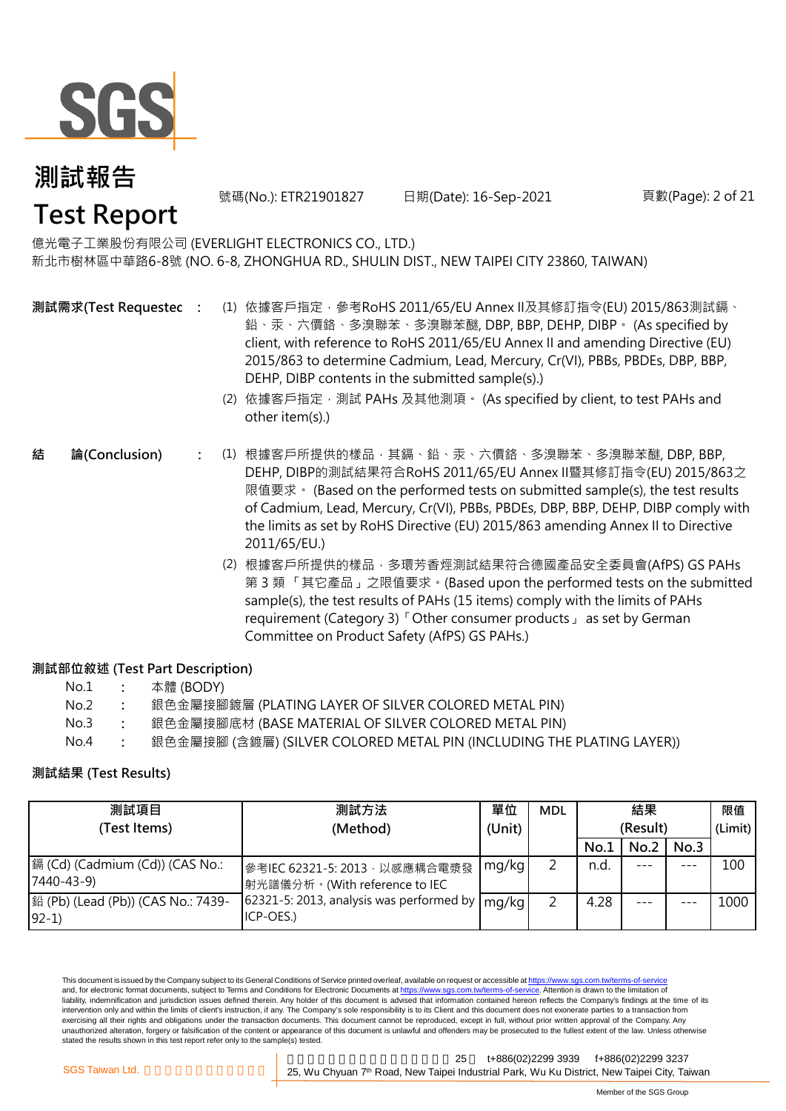

號碼(No.): ETR21901827 日期(Date): 16-Sep-2021

頁數(Page): 2 of 21

### 億光電子工業股份有限公司 (EVERLIGHT ELECTRONICS CO., LTD.)

新北市樹林區中華路6-8號 (NO. 6-8, ZHONGHUA RD., SHULIN DIST., NEW TAIPEI CITY 23860, TAIWAN)

- **測試需求(Test Requested)**
	- **:** (1) 依據客戶指定,參考RoHS 2011/65/EU Annex II及其修訂指令(EU) 2015/863測試鎘、 鉛、汞、六價鉻、多溴聯苯、多溴聯苯醚, DBP, BBP, DEHP, DIBP。 (As specified by client, with reference to RoHS 2011/65/EU Annex II and amending Directive (EU) 2015/863 to determine Cadmium, Lead, Mercury, Cr(VI), PBBs, PBDEs, DBP, BBP, DEHP, DIBP contents in the submitted sample(s).)
		- (2) 依據客戶指定,測試 PAHs 及其他測項。 (As specified by client, to test PAHs and other item(s).)
- **:** (1) 根據客戶所提供的樣品,其鎘、鉛、汞、六價鉻、多溴聯苯、多溴聯苯醚, DBP, BBP, DEHP, DIBP的測試結果符合RoHS 2011/65/EU Annex II暨其修訂指令(EU) 2015/863之 限值要求。 (Based on the performed tests on submitted sample(s), the test results of Cadmium, Lead, Mercury, Cr(VI), PBBs, PBDEs, DBP, BBP, DEHP, DIBP comply with the limits as set by RoHS Directive (EU) 2015/863 amending Annex II to Directive 2011/65/EU.) **結 論(Conclusion)**
	- (2) 根據客戶所提供的樣品,多環芳香烴測試結果符合德國產品安全委員會(AfPS) GS PAHs 第 3 類 「其它產品」之限值要求。(Based upon the performed tests on the submitted sample(s), the test results of PAHs (15 items) comply with the limits of PAHs requirement (Category 3)「Other consumer products」 as set by German Committee on Product Safety (AfPS) GS PAHs.)

#### **測試部位敘述 (Test Part Description)**

| No.1 |  | 本體 (BODY) |
|------|--|-----------|
|------|--|-----------|

- No.2 **:** 銀色金屬接腳鍍層 (PLATING LAYER OF SILVER COLORED METAL PIN)
- No.3 **:** 銀色金屬接腳底材 (BASE MATERIAL OF SILVER COLORED METAL PIN)
- No.4 **:** 銀色金屬接腳 (含鍍層) (SILVER COLORED METAL PIN (INCLUDING THE PLATING LAYER))

#### **測試結果 (Test Results)**

| 測試項目                                          | 測試方法                                                            | 單位     | <b>MDL</b> | 結果       |         |         | 限值      |
|-----------------------------------------------|-----------------------------------------------------------------|--------|------------|----------|---------|---------|---------|
| (Test Items)                                  | (Method)                                                        | (Unit) |            | (Result) |         |         | (Limit) |
|                                               |                                                                 |        |            | No.1     | No.2    | No.3    |         |
| 鎘 (Cd) (Cadmium (Cd)) (CAS No.:<br>7440-43-9) | 參考IEC 62321-5: 2013, 以感應耦合電漿發<br> 射光譜儀分析。(With reference to IEC | mg/kg  |            | n.d.     |         | $- - -$ | 100     |
| 鉛 (Pb) (Lead (Pb)) (CAS No.: 7439-<br>$92-1$  | 62321-5: 2013, analysis was performed by<br>ICP-OES.)           | mg/kg  |            | 4.28     | $- - -$ |         | 1000    |

This document is issued by the Company subject to its General Conditions of Service printed overleaf, available on request or accessible at https://www.sgs.com.tw/terms-of-service and, for electronic format documents, subject to Terms and Conditions for Electronic Documents at https://www.sgs.com.tw/terms-of-service. Attention is drawn to the limitation of liability, indemnification and jurisdiction issues defined therein. Any holder of this document is advised that information contained hereon reflects the Company's findings at the time of its intervention only and within the limits of client's instruction, if any. The Company's sole responsibility is to its Client and this document does not exonerate parties to a transaction from exercising all their rights and obligations under the transaction documents. This document cannot be reproduced, except in full, without prior written approval of the Company. Any unauthorized alteration, forgery or falsification of the content or appearance of this document is unlawful and offenders may be prosecuted to the fullest extent of the law. Unless otherwise stated the results shown in this test report refer only to the sample(s) tested.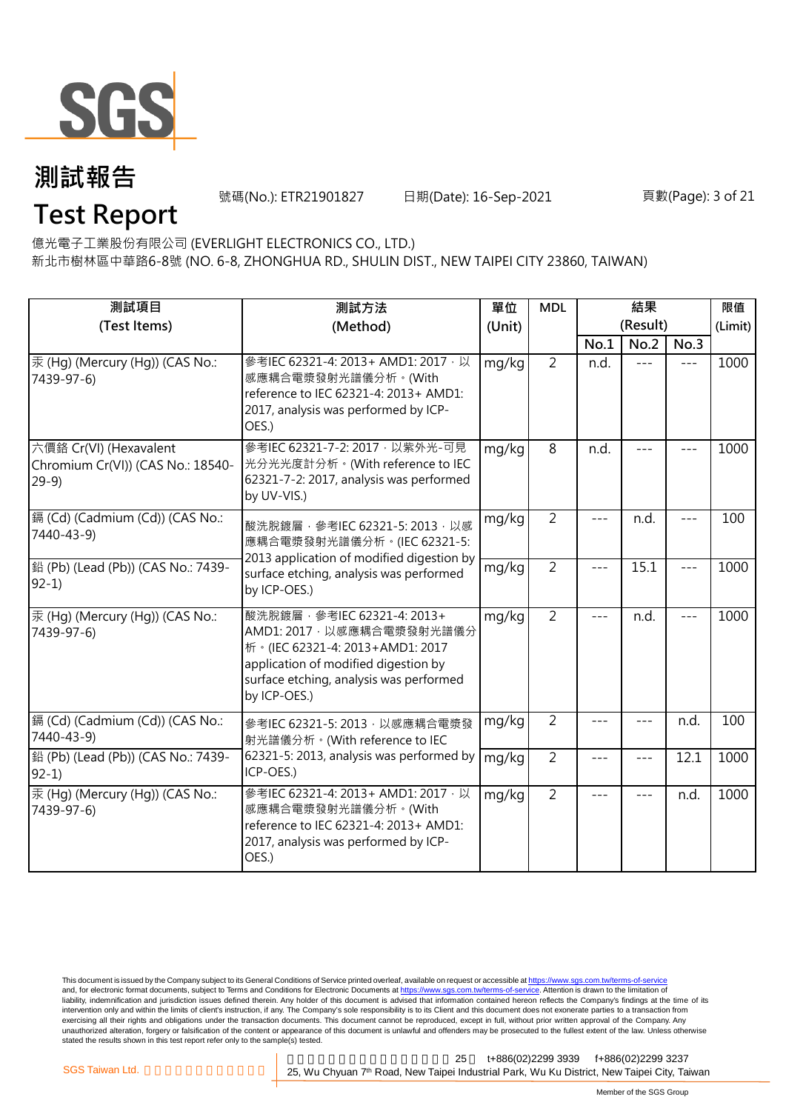

號碼(No.): ETR21901827 日期(Date): 16-Sep-2021

#### 頁數(Page): 3 of 21

**Test Report**

億光電子工業股份有限公司 (EVERLIGHT ELECTRONICS CO., LTD.)

新北市樹林區中華路6-8號 (NO. 6-8, ZHONGHUA RD., SHULIN DIST., NEW TAIPEI CITY 23860, TAIWAN)

| 測試項目                                                                  | 測試方法                                                                                                                                                                                              | 單位     | <b>MDL</b>     |         | 結果               |         | 限值<br>(Limit) |
|-----------------------------------------------------------------------|---------------------------------------------------------------------------------------------------------------------------------------------------------------------------------------------------|--------|----------------|---------|------------------|---------|---------------|
| (Test Items)                                                          | (Method)                                                                                                                                                                                          | (Unit) |                | No.1    | (Result)<br>No.2 | No.3    |               |
| 汞 (Hg) (Mercury (Hg)) (CAS No.:<br>7439-97-6)                         | 參考IEC 62321-4: 2013+ AMD1: 2017 · 以<br>感應耦合電漿發射光譜儀分析。(With<br>reference to IEC 62321-4: 2013+ AMD1:<br>2017, analysis was performed by ICP-<br>OES.)                                              | mg/kg  | $\overline{2}$ | n.d.    | $---$            | $---$   | 1000          |
| 六價鉻 Cr(VI) (Hexavalent<br>Chromium Cr(VI)) (CAS No.: 18540-<br>$29-9$ | 參考IEC 62321-7-2: 2017 · 以紫外光-可見<br>光分光光度計分析。(With reference to IEC<br>62321-7-2: 2017, analysis was performed<br>by UV-VIS.)                                                                      | mg/kg  | 8              | n.d.    |                  |         | 1000          |
| 鎘 (Cd) (Cadmium (Cd)) (CAS No.:<br>7440-43-9)                         | mg/kg<br>酸洗脫鍍層, 參考IEC 62321-5: 2013, 以感<br>應耦合電漿發射光譜儀分析。(IEC 62321-5:                                                                                                                             |        | $\overline{2}$ |         | n.d.             |         | 100           |
| 鉛 (Pb) (Lead (Pb)) (CAS No.: 7439-<br>$92-1)$                         | 2013 application of modified digestion by<br>surface etching, analysis was performed<br>by ICP-OES.)                                                                                              | mg/kg  | $\overline{2}$ | $- - -$ | 15.1             | $- - -$ | 1000          |
| 汞 (Hg) (Mercury (Hg)) (CAS No.:<br>7439-97-6)                         | 酸洗脫鍍層, 參考IEC 62321-4: 2013+<br>AMD1: 2017 · 以感應耦合電漿發射光譜儀分<br>析 · (IEC 62321-4: 2013+AMD1: 2017<br>application of modified digestion by<br>surface etching, analysis was performed<br>by ICP-OES.) | mg/kg  | $\overline{2}$ | $---$   | n.d.             | $---$   | 1000          |
| 鎘 (Cd) (Cadmium (Cd)) (CAS No.:<br>7440-43-9)                         | 參考IEC 62321-5: 2013, 以感應耦合電漿發<br>射光譜儀分析。(With reference to IEC                                                                                                                                    | mg/kg  | $\overline{2}$ |         |                  | n.d.    | 100           |
| 鉛 (Pb) (Lead (Pb)) (CAS No.: 7439-<br>$92-1$                          | 62321-5: 2013, analysis was performed by<br>ICP-OES.)                                                                                                                                             | mg/kg  | $\overline{2}$ | ---     | $- - -$          | 12.1    | 1000          |
| 汞 (Hq) (Mercury (Hq)) (CAS No.:<br>7439-97-6)                         | 參考IEC 62321-4: 2013+ AMD1: 2017, 以<br>感應耦合電漿發射光譜儀分析。(With<br>reference to IEC 62321-4: 2013+ AMD1:<br>2017, analysis was performed by ICP-<br>OES.)                                               | mg/kg  | $\overline{2}$ | $---$   | $- - -$          | n.d.    | 1000          |

This document is issued by the Company subject to its General Conditions of Service printed overleaf, available on request or accessible at <u>https://www.sgs.com.tw/terms-of-service</u><br>and, for electronic format documents, su liability, indemnification and jurisdiction issues defined therein. Any holder of this document is advised that information contained hereon reflects the Company's findings at the time of its intervention only and within the limits of client's instruction, if any. The Company's sole responsibility is to its Client and this document does not exonerate parties to a transaction from exercising all their rights and obligations under the transaction documents. This document cannot be reproduced, except in full, without prior written approval of the Company. Any<br>unauthorized alteration, forgery or falsif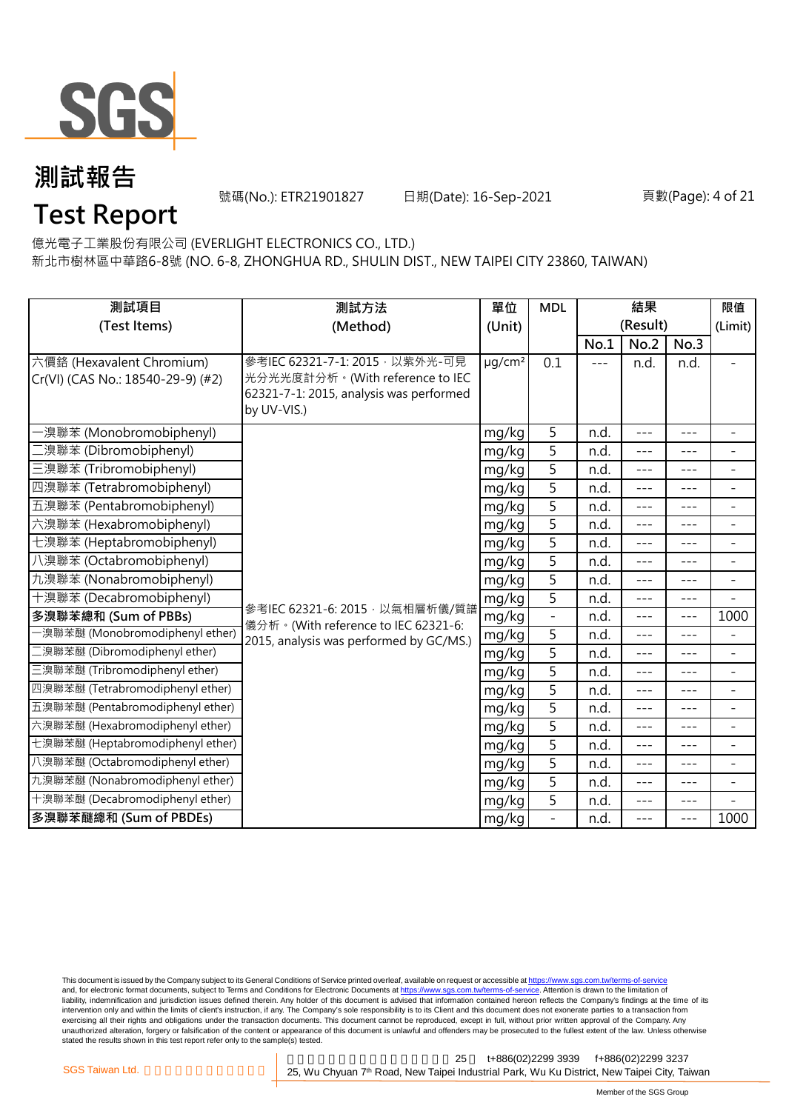

號碼(No.): ETR21901827 日期(Date): 16-Sep-2021

#### 頁數(Page): 4 of 21

## **Test Report**

億光電子工業股份有限公司 (EVERLIGHT ELECTRONICS CO., LTD.)

新北市樹林區中華路6-8號 (NO. 6-8, ZHONGHUA RD., SHULIN DIST., NEW TAIPEI CITY 23860, TAIWAN)

| 測試項目                                                           | 測試方法                                                                                                                         |                         | <b>MDL</b>     | 結果    |          |         | 限值                       |
|----------------------------------------------------------------|------------------------------------------------------------------------------------------------------------------------------|-------------------------|----------------|-------|----------|---------|--------------------------|
| (Test Items)                                                   | (Method)<br>(Unit)                                                                                                           |                         |                |       | (Result) |         | (Limit)                  |
|                                                                |                                                                                                                              |                         |                | No.1  | No.2     | No.3    |                          |
| 六價鉻 (Hexavalent Chromium)<br>Cr(VI) (CAS No.: 18540-29-9) (#2) | 參考IEC 62321-7-1: 2015 · 以紫外光-可見<br>光分光光度計分析。(With reference to IEC<br>62321-7-1: 2015, analysis was performed<br>by UV-VIS.) | $\mu$ g/cm <sup>2</sup> | 0.1            | $---$ | n.d.     | n.d.    |                          |
| ·溴聯苯 (Monobromobiphenyl)                                       |                                                                                                                              | mg/kg                   | 5              | n.d.  | $---$    | $---$   | $\overline{\phantom{a}}$ |
| [溴聯苯 (Dibromobiphenyl)                                         |                                                                                                                              | mg/kg                   | 5              | n.d.  | $---$    | ---     | ÷                        |
| 三溴聯苯 (Tribromobiphenyl)                                        |                                                                                                                              | mg/kg                   | 5              | n.d.  | $- - -$  | $- - -$ | $\overline{\phantom{a}}$ |
| 四溴聯苯 (Tetrabromobiphenyl)                                      |                                                                                                                              | mg/kg                   | 5              | n.d.  | $---$    | $---$   | $\overline{\phantom{0}}$ |
| 五溴聯苯 (Pentabromobiphenyl)                                      |                                                                                                                              | mg/kg                   | 5              | n.d.  | $---$    | ---     | $\overline{\phantom{0}}$ |
| 六溴聯苯 (Hexabromobiphenyl)                                       |                                                                                                                              | mg/kg                   | 5              | n.d.  | $---$    | ---     | $\overline{\phantom{a}}$ |
| 七溴聯苯 (Heptabromobiphenyl)                                      |                                                                                                                              | mg/kg                   | 5              | n.d.  | $---$    | $---$   | $\overline{a}$           |
| 八溴聯苯 (Octabromobiphenyl)                                       |                                                                                                                              | mg/kg                   | 5              | n.d.  | $---$    | ---     | $\overline{\phantom{a}}$ |
| 九溴聯苯 (Nonabromobiphenyl)                                       |                                                                                                                              | mg/kg                   | 5              | n.d.  | ---      | $- - -$ | $\overline{\phantom{a}}$ |
| 十溴聯苯 (Decabromobiphenyl)                                       | 參考IEC 62321-6: 2015, 以氣相層析儀/質譜                                                                                               | mg/kg                   | 5              | n.d.  | $---$    | $- - -$ | $\overline{a}$           |
| 多溴聯苯總和 (Sum of PBBs)                                           | 儀分析。(With reference to IEC 62321-6:                                                                                          | mg/kg                   |                | n.d.  | $---$    | $- - -$ | 1000                     |
| -溴聯苯醚 (Monobromodiphenyl ether)                                | 2015, analysis was performed by GC/MS.)                                                                                      | mg/kg                   | $\overline{5}$ | n.d.  | $---$    | ---     | $\overline{\phantom{0}}$ |
| 二溴聯苯醚 (Dibromodiphenyl ether)                                  |                                                                                                                              | mg/kg                   | 5              | n.d.  | $---$    | ---     | $\overline{\phantom{a}}$ |
| 三溴聯苯醚 (Tribromodiphenyl ether)                                 |                                                                                                                              | mg/kg                   | 5              | n.d.  | $ -$     | ---     | $\overline{a}$           |
| 四溴聯苯醚 (Tetrabromodiphenyl ether)                               |                                                                                                                              | mg/kg                   | 5              | n.d.  | $---$    | ---     | $\overline{\phantom{a}}$ |
| 五溴聯苯醚 (Pentabromodiphenyl ether)                               |                                                                                                                              | mg/kg                   | 5              | n.d.  | ---      | ---     | ÷                        |
| 六溴聯苯醚 (Hexabromodiphenyl ether)                                |                                                                                                                              | mg/kg                   | 5              | n.d.  | $---$    | $- - -$ | $\overline{\phantom{0}}$ |
| 七溴聯苯醚 (Heptabromodiphenyl ether)                               | mg/kg<br>mg/kg                                                                                                               |                         | 5              | n.d.  | $---$    | $---$   | $\qquad \qquad -$        |
| 八溴聯苯醚 (Octabromodiphenyl ether)                                |                                                                                                                              |                         | $\overline{5}$ | n.d.  | $---$    | $- - -$ | $\overline{\phantom{0}}$ |
| 九溴聯苯醚 (Nonabromodiphenyl ether)                                |                                                                                                                              | mg/kg                   | 5              | n.d.  | $---$    | $---$   | $\overline{a}$           |
| 十溴聯苯醚 (Decabromodiphenyl ether)                                |                                                                                                                              | mg/kg                   | 5              | n.d.  | $--$     | ---     |                          |
| 多溴聯苯醚總和 (Sum of PBDEs)                                         |                                                                                                                              | mg/kg                   | $\overline{a}$ | n.d.  | $---$    | ---     | 1000                     |

This document is issued by the Company subject to its General Conditions of Service printed overleaf, available on request or accessible at <u>https://www.sgs.com.tw/terms-of-service</u><br>and, for electronic format documents, su liability, indemnification and jurisdiction issues defined therein. Any holder of this document is advised that information contained hereon reflects the Company's findings at the time of its liability, indemnification and intervention only and within the limits of client's instruction, if any. The Company's sole responsibility is to its Client and this document does not exonerate parties to a transaction from exercising all their rights and obligations under the transaction documents. This document cannot be reproduced, except in full, without prior written approval of the Company. Any<br>unauthorized alteration, forgery or falsif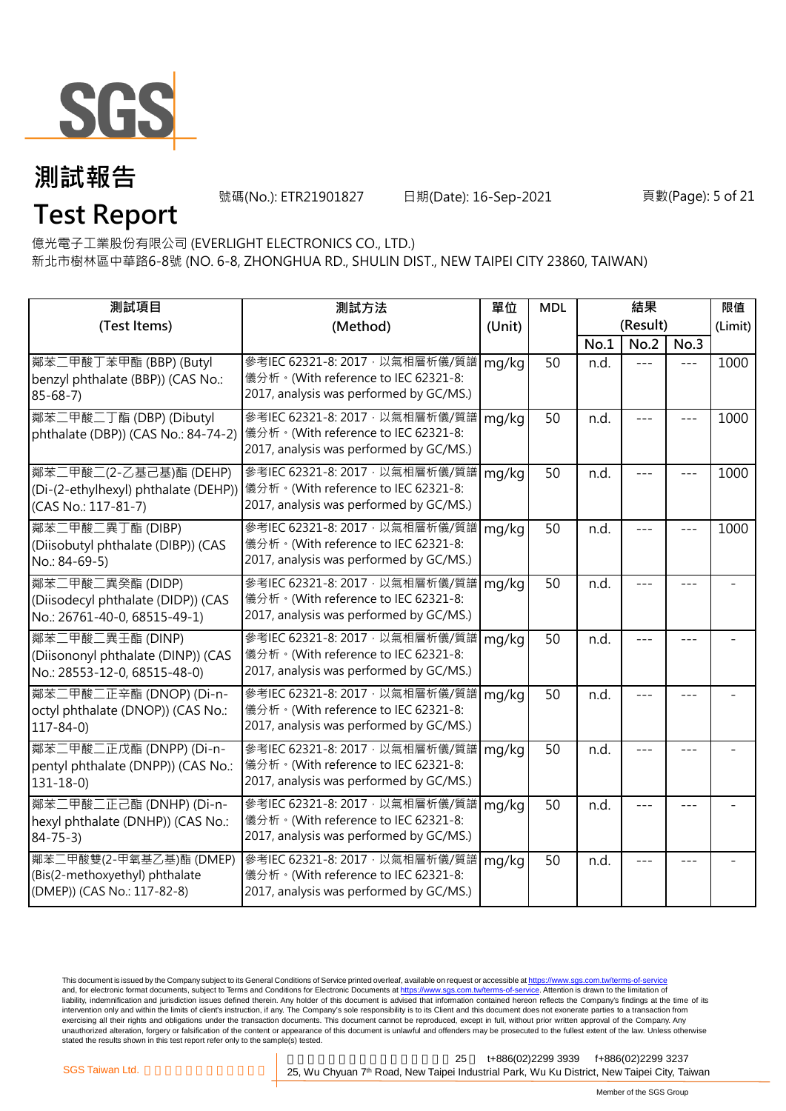

號碼(No.): ETR21901827 日期(Date): 16-Sep-2021

#### 頁數(Page): 5 of 21

**Test Report**

億光電子工業股份有限公司 (EVERLIGHT ELECTRONICS CO., LTD.)

新北市樹林區中華路6-8號 (NO. 6-8, ZHONGHUA RD., SHULIN DIST., NEW TAIPEI CITY 23860, TAIWAN)

| 測試項目                                                                                     | 測試方法                                                                                                                                                   | 單位     | <b>MDL</b> | 結果       |         |         | 限值      |
|------------------------------------------------------------------------------------------|--------------------------------------------------------------------------------------------------------------------------------------------------------|--------|------------|----------|---------|---------|---------|
| (Test Items)                                                                             | (Method)                                                                                                                                               | (Unit) |            | (Result) |         |         | (Limit) |
|                                                                                          |                                                                                                                                                        |        |            | No.1     | No.2    | No.3    |         |
| 鄰苯二甲酸丁苯甲酯 (BBP) (Butyl<br>benzyl phthalate (BBP)) (CAS No.:<br>$85 - 68 - 7$             | 參考IEC 62321-8: 2017, 以氣相層析儀/質譜<br>儀分析。(With reference to IEC 62321-8:<br>2017, analysis was performed by GC/MS.)                                       | mg/kg  | 50         | n.d.     | $- - -$ | $= -$   | 1000    |
| 鄰苯二甲酸二丁酯 (DBP) (Dibutyl<br>phthalate (DBP)) (CAS No.: 84-74-2)                           | 參考IEC 62321-8: 2017, 以氣相層析儀/質譜<br>儀分析。(With reference to IEC 62321-8:<br>2017, analysis was performed by GC/MS.)                                       | mg/kg  | 50         | n.d.     |         |         | 1000    |
| 鄰苯二甲酸二(2-乙基己基)酯 (DEHP)<br>(CAS No.: 117-81-7)                                            | 參考IEC 62321-8: 2017 · 以氣相層析儀/質譜<br>(Di-(2-ethylhexyl) phthalate (DEHP)) 儀分析。(With reference to IEC 62321-8:<br>2017, analysis was performed by GC/MS.) | mg/kg  | 50         | n.d.     |         | $- - -$ | 1000    |
| 鄰苯二甲酸二異丁酯 (DIBP)<br>(Diisobutyl phthalate (DIBP)) (CAS<br>No.: 84-69-5)                  | 參考IEC 62321-8: 2017, 以氣相層析儀/質譜<br>儀分析。(With reference to IEC 62321-8:<br>2017, analysis was performed by GC/MS.)                                       | mg/kg  | 50         | n.d.     | $- - -$ | ---     | 1000    |
| 鄰苯二甲酸二異癸酯 (DIDP)<br>(Diisodecyl phthalate (DIDP)) (CAS<br>No.: 26761-40-0, 68515-49-1)   | 參考IEC 62321-8: 2017, 以氣相層析儀/質譜<br>儀分析。(With reference to IEC 62321-8:<br>2017, analysis was performed by GC/MS.)                                       | mg/kg  | 50         | n.d.     | ---     |         |         |
| 鄰苯二甲酸二異壬酯 (DINP)<br>(Diisononyl phthalate (DINP)) (CAS<br>No.: 28553-12-0, 68515-48-0)   | 參考IEC 62321-8: 2017, 以氣相層析儀/質譜<br>儀分析。(With reference to IEC 62321-8:<br>2017, analysis was performed by GC/MS.)                                       | mg/kg  | 50         | n.d.     |         |         |         |
| 鄰苯二甲酸二正辛酯 (DNOP) (Di-n-<br>octyl phthalate (DNOP)) (CAS No.:<br>$117 - 84 - 0$           | 參考IEC 62321-8: 2017, 以氣相層析儀/質譜<br>儀分析。(With reference to IEC 62321-8:<br>2017, analysis was performed by GC/MS.)                                       | mg/kg  | 50         | n.d.     |         |         |         |
| 鄰苯二甲酸二正戊酯 (DNPP) (Di-n-<br>pentyl phthalate (DNPP)) (CAS No.:<br>$131 - 18 - 0$          | 參考IEC 62321-8: 2017, 以氣相層析儀/質譜<br>儀分析。(With reference to IEC 62321-8:<br>2017, analysis was performed by GC/MS.)                                       | mg/kg  | 50         | n.d.     |         |         |         |
| 鄰苯二甲酸二正己酯 (DNHP) (Di-n-<br>hexyl phthalate (DNHP)) (CAS No.:<br>$84 - 75 - 3$            | 參考IEC 62321-8: 2017, 以氣相層析儀/質譜<br>儀分析。(With reference to IEC 62321-8:<br>2017, analysis was performed by GC/MS.)                                       | mg/kg  | 50         | n.d.     |         |         |         |
| 鄰苯二甲酸雙(2-甲氧基乙基)酯 (DMEP)<br>(Bis(2-methoxyethyl) phthalate<br>(DMEP)) (CAS No.: 117-82-8) | 參考IEC 62321-8: 2017, 以氣相層析儀/質譜<br>儀分析。(With reference to IEC 62321-8:<br>2017, analysis was performed by GC/MS.)                                       | mg/kg  | 50         | n.d.     |         |         |         |

This document is issued by the Company subject to its General Conditions of Service printed overleaf, available on request or accessible at <u>https://www.sgs.com.tw/terms-of-service</u><br>and, for electronic format documents, su liability, indemnification and jurisdiction issues defined therein. Any holder of this document is advised that information contained hereon reflects the Company's findings at the time of its intervention only and within the limits of client's instruction, if any. The Company's sole responsibility is to its Client and this document does not exonerate parties to a transaction from exercising all their rights and obligations under the transaction documents. This document cannot be reproduced, except in full, without prior written approval of the Company. Any<br>unauthorized alteration, forgery or falsif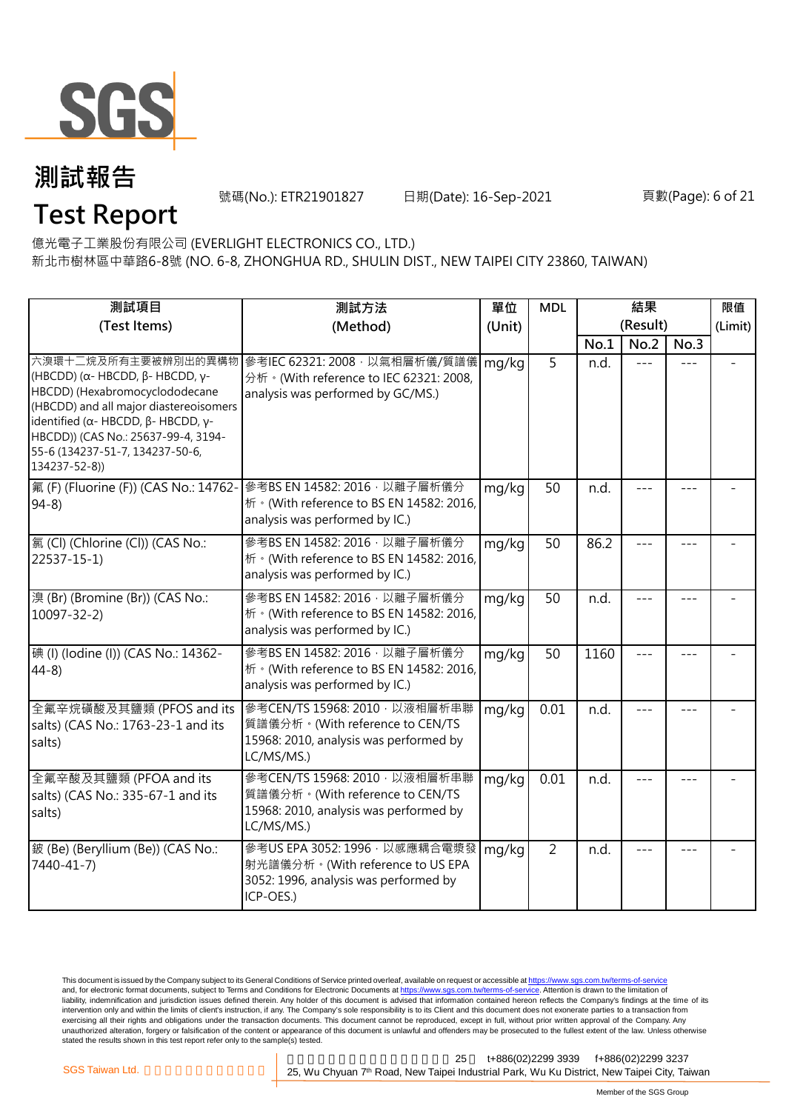

號碼(No.): ETR21901827 日期(Date): 16-Sep-2021

#### 頁數(Page): 6 of 21

**Test Report**

億光電子工業股份有限公司 (EVERLIGHT ELECTRONICS CO., LTD.)

新北市樹林區中華路6-8號 (NO. 6-8, ZHONGHUA RD., SHULIN DIST., NEW TAIPEI CITY 23860, TAIWAN)

| 測試項目                                                                                                                                                                                                                                                                                | 測試方法                                                                                                                      | 單位     | <b>MDL</b>     | 結果       |      |      | 限值      |
|-------------------------------------------------------------------------------------------------------------------------------------------------------------------------------------------------------------------------------------------------------------------------------------|---------------------------------------------------------------------------------------------------------------------------|--------|----------------|----------|------|------|---------|
| (Test Items)                                                                                                                                                                                                                                                                        | (Method)                                                                                                                  | (Unit) |                | (Result) |      |      | (Limit) |
|                                                                                                                                                                                                                                                                                     |                                                                                                                           |        |                | No.1     | No.2 | No.3 |         |
| 六溴環十二烷及所有主要被辨別出的異構物<br>(HBCDD) ( $\alpha$ - HBCDD, $\beta$ - HBCDD, γ-<br>HBCDD) (Hexabromocyclododecane<br>(HBCDD) and all major diastereoisomers<br>identified (α- HBCDD, β- HBCDD, γ-<br>HBCDD)) (CAS No.: 25637-99-4, 3194-<br>55-6 (134237-51-7, 134237-50-6,<br>134237-52-8)) | 參考IEC 62321: 2008, 以氣相層析儀/質譜儀<br>分析 · (With reference to IEC 62321: 2008,<br>analysis was performed by GC/MS.)            | mg/kg  | $\overline{5}$ | n.d.     |      |      |         |
| 氟 (F) (Fluorine (F)) (CAS No.: 14762-<br>$94-8$                                                                                                                                                                                                                                     | 參考BS EN 14582: 2016, 以離子層析儀分<br>析 · (With reference to BS EN 14582: 2016,<br>analysis was performed by IC.)               | mg/kg  | 50             | n.d.     |      |      |         |
| 氯(Cl) (Chlorine (Cl)) (CAS No.:<br>$22537 - 15 - 1$                                                                                                                                                                                                                                 | 參考BS EN 14582: 2016 · 以離子層析儀分<br>析 · (With reference to BS EN 14582: 2016,<br>analysis was performed by IC.)              | mg/kg  | 50             | 86.2     |      |      |         |
| 溴 (Br) (Bromine (Br)) (CAS No.:<br>$10097 - 32 - 2$                                                                                                                                                                                                                                 | 參考BS EN 14582: 2016 · 以離子層析儀分<br>析 · (With reference to BS EN 14582: 2016,<br>analysis was performed by IC.)              | mg/kg  | 50             | n.d.     |      |      |         |
| 碘 (I) (Iodine (I)) (CAS No.: 14362-<br>$44-8$                                                                                                                                                                                                                                       | 參考BS EN 14582: 2016 · 以離子層析儀分<br>桥 · (With reference to BS EN 14582: 2016,<br>analysis was performed by IC.)              | mg/kg  | 50             | 1160     |      |      |         |
| 全氟辛烷磺酸及其鹽類 (PFOS and its<br>salts) (CAS No.: 1763-23-1 and its<br>salts)                                                                                                                                                                                                            | 參考CEN/TS 15968: 2010 · 以液相層析串聯<br>質譜儀分析。(With reference to CEN/TS<br>15968: 2010, analysis was performed by<br>LC/MS/MS.) | mg/kg  | 0.01           | n.d.     |      |      |         |
| 全氟辛酸及其鹽類 (PFOA and its<br>salts) (CAS No.: 335-67-1 and its<br>salts)                                                                                                                                                                                                               | 參考CEN/TS 15968: 2010 · 以液相層析串聯<br>質譜儀分析。(With reference to CEN/TS<br>15968: 2010, analysis was performed by<br>LC/MS/MS.) | mg/kg  | 0.01           | n.d.     |      |      |         |
| 鈹 (Be) (Beryllium (Be)) (CAS No.:<br>7440-41-7)                                                                                                                                                                                                                                     | 參考US EPA 3052: 1996, 以感應耦合電漿發<br>射光譜儀分析。(With reference to US EPA<br>3052: 1996, analysis was performed by<br>ICP-OES.)   | mg/kg  | $\overline{2}$ | n.d.     |      |      |         |

This document is issued by the Company subject to its General Conditions of Service printed overleaf, available on request or accessible at <u>https://www.sgs.com.tw/terms-of-service</u><br>and, for electronic format documents, su liability, indemnification and jurisdiction issues defined therein. Any holder of this document is advised that information contained hereon reflects the Company's findings at the time of its intervention only and within the limits of client's instruction, if any. The Company's sole responsibility is to its Client and this document does not exonerate parties to a transaction from exercising all their rights and obligations under the transaction documents. This document cannot be reproduced, except in full, without prior written approval of the Company. Any<br>unauthorized alteration, forgery or falsif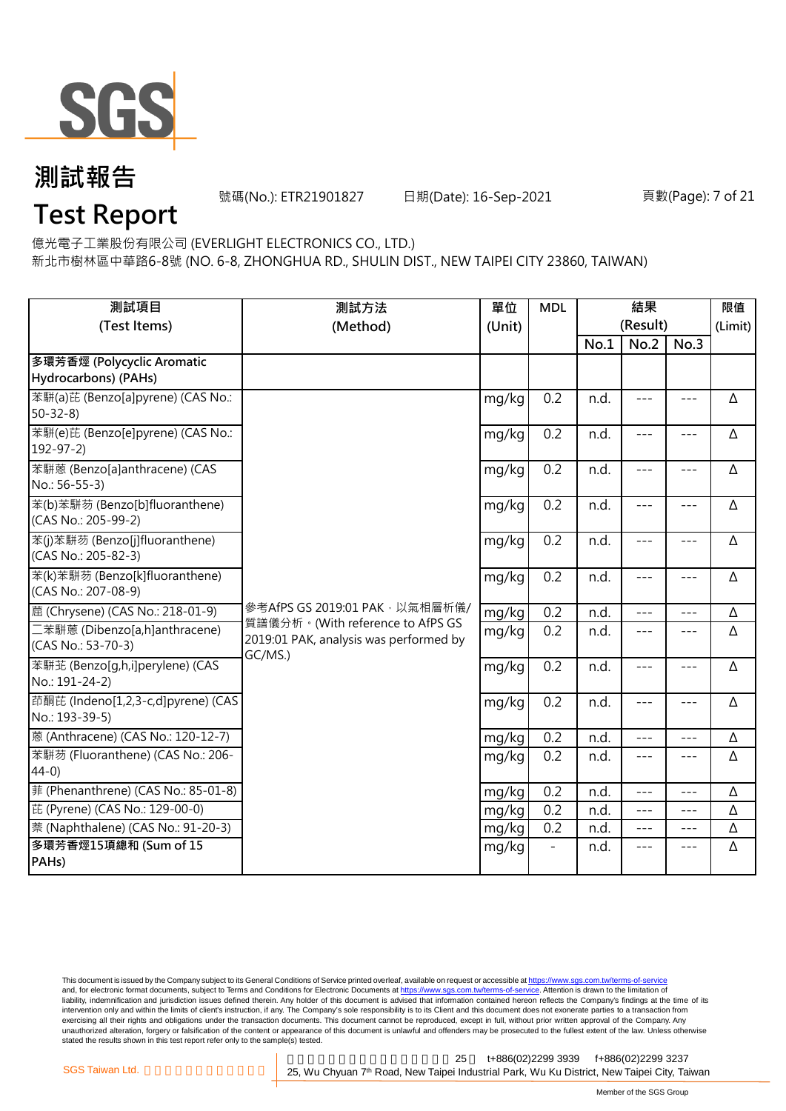

號碼(No.): ETR21901827 日期(Date): 16-Sep-2021

#### 頁數(Page): 7 of 21

## **Test Report**

億光電子工業股份有限公司 (EVERLIGHT ELECTRONICS CO., LTD.)

新北市樹林區中華路6-8號 (NO. 6-8, ZHONGHUA RD., SHULIN DIST., NEW TAIPEI CITY 23860, TAIWAN)

| 測試項目<br>(Test Items)                                  | 測試方法<br>(Method)                                                                      | 單位<br>(Unit) | <b>MDL</b> | 結果<br>(Result) |                     |                     | 限值<br>(Limit) |
|-------------------------------------------------------|---------------------------------------------------------------------------------------|--------------|------------|----------------|---------------------|---------------------|---------------|
|                                                       |                                                                                       |              |            | No.1           | No.2                | No.3                |               |
| 多環芳香烴 (Polycyclic Aromatic<br>Hydrocarbons) (PAHs)    |                                                                                       |              |            |                |                     |                     |               |
| 苯駢(a)芘 (Benzo[a]pyrene) (CAS No.:<br>$50 - 32 - 8$    |                                                                                       | mg/kg        | 0.2        | n.d.           | $\frac{1}{2}$       | $\frac{1}{2}$       | Δ             |
| 苯駢(e)芘 (Benzo[e]pyrene) (CAS No.:<br>$192 - 97 - 2$   |                                                                                       | mg/kg        | 0.2        | n.d.           | $---$               | $---$               | Δ             |
| 苯駢蒽 (Benzo[a]anthracene) (CAS<br>No.: 56-55-3)        |                                                                                       | mg/kg        | 0.2        | n.d.           | $---$               | $- - -$             | Δ             |
| 苯(b)苯駢芴 (Benzo[b]fluoranthene)<br>(CAS No.: 205-99-2) |                                                                                       | mg/kg        | 0.2        | n.d.           | $\qquad \qquad - -$ | $\qquad \qquad - -$ | Δ             |
| 苯(j)苯駢芴 (Benzo[j]fluoranthene)<br>(CAS No.: 205-82-3) |                                                                                       | mg/kg        | 0.2        | n.d.           | $---$               | $---$               | Δ             |
| 苯(k)苯駢芴 (Benzo[k]fluoranthene)<br>(CAS No.: 207-08-9) |                                                                                       | mg/kg        | 0.2        | n.d.           | $---$               | $---$               | Δ             |
| 蔰 (Chrysene) (CAS No.: 218-01-9)                      | 參考AfPS GS 2019:01 PAK · 以氣相層析儀/                                                       | mg/kg        | 0.2        | n.d.           | $- - -$             | $---$               | Δ             |
| 二苯駢蒽 (Dibenzo[a,h]anthracene)<br>(CAS No.: 53-70-3)   | 質譜儀分析。(With reference to AfPS GS<br>2019:01 PAK, analysis was performed by<br>GC/MS.) | mg/kg        | 0.2        | n.d.           | $\frac{1}{2}$       | $\frac{1}{2}$       | Δ             |
| 苯駢芷 (Benzo[q,h,i]perylene) (CAS<br>No.: 191-24-2)     |                                                                                       | mg/kg        | 0.2        | n.d.           | $- - -$             | $---$               | Δ             |
| 茚酮芘 (Indeno[1,2,3-c,d]pyrene) (CAS<br>No.: 193-39-5)  |                                                                                       | mg/kg        | 0.2        | n.d.           | $---$               | $\qquad \qquad - -$ | Δ             |
| 蒽 (Anthracene) (CAS No.: 120-12-7)                    |                                                                                       | mg/kg        | 0.2        | n.d.           | $ -$                | ---                 | Δ             |
| 苯駢芴 (Fluoranthene) (CAS No.: 206-<br>$44-0$           |                                                                                       | mg/kg        | 0.2        | n.d.           | $- - -$             | $---$               | Δ             |
| 菲 (Phenanthrene) (CAS No.: 85-01-8)                   |                                                                                       | mg/kg        | 0.2        | n.d.           | $ -$                | $---$               | Δ             |
| 芘 (Pyrene) (CAS No.: 129-00-0)                        |                                                                                       | mg/kg        | 0.2        | n.d.           | $\frac{1}{2}$       | $\frac{1}{2}$       | Δ             |
| 萘 (Naphthalene) (CAS No.: 91-20-3)                    |                                                                                       | mg/kg        | 0.2        | n.d.           | $\frac{1}{2}$       | $---$               | Δ             |
| 多環芳香烴15項總和 (Sum of 15<br>PAH <sub>s</sub> )           |                                                                                       | mg/kg        |            | n.d.           | $---$               | $---$               | Δ             |

This document is issued by the Company subject to its General Conditions of Service printed overleaf, available on request or accessible at <u>https://www.sgs.com.tw/terms-of-service</u><br>and, for electronic format documents, su liability, indemnification and jurisdiction issues defined therein. Any holder of this document is advised that information contained hereon reflects the Company's findings at the time of its intervention only and within the limits of client's instruction, if any. The Company's sole responsibility is to its Client and this document does not exonerate parties to a transaction from exercising all their rights and obligations under the transaction documents. This document cannot be reproduced, except in full, without prior written approval of the Company. Any<br>unauthorized alteration, forgery or falsif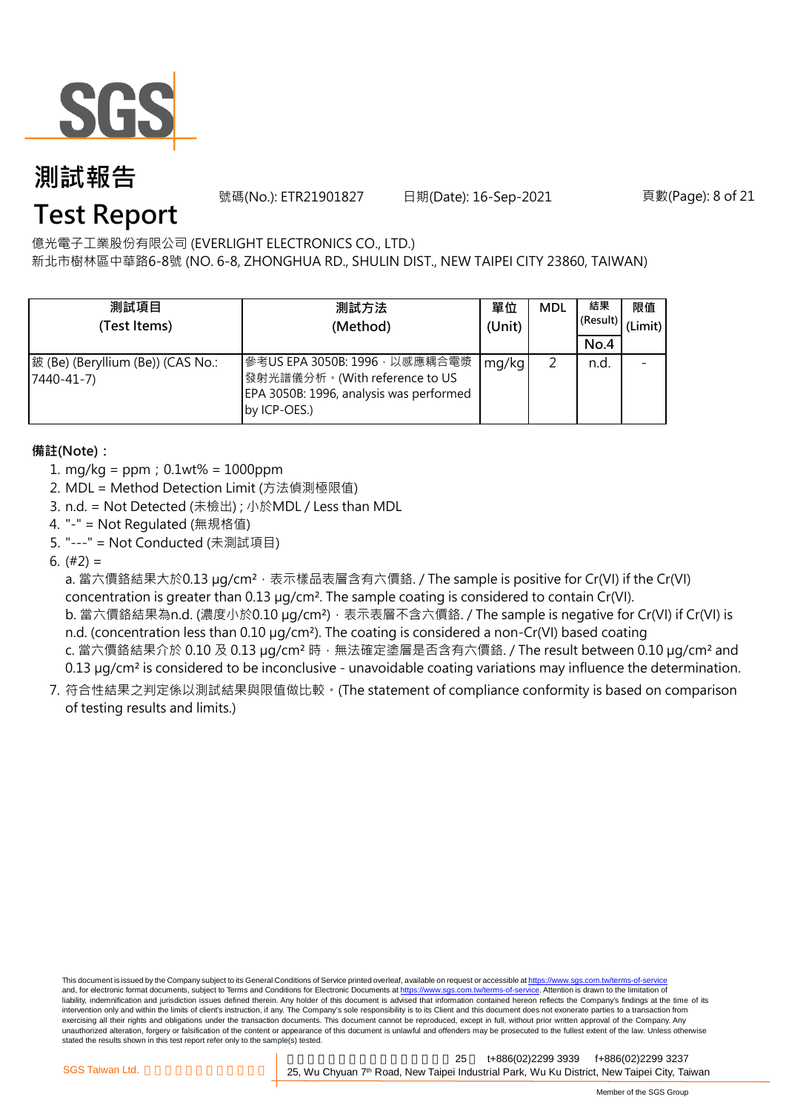

號碼(No.): ETR21901827 日期(Date): 16-Sep-2021

頁數(Page): 8 of 21

## **Test Report**

億光電子工業股份有限公司 (EVERLIGHT ELECTRONICS CO., LTD.)

新北市樹林區中華路6-8號 (NO. 6-8, ZHONGHUA RD., SHULIN DIST., NEW TAIPEI CITY 23860, TAIWAN)

| 測試項目<br>(Test Items)                            | 測試方法<br>(Method)                                                                                                          | 單位<br>(Unit) | <b>MDL</b> | 結果<br>(Result)<br>No.4 | 限值<br>(Limit) |
|-------------------------------------------------|---------------------------------------------------------------------------------------------------------------------------|--------------|------------|------------------------|---------------|
| 鈹 (Be) (Beryllium (Be)) (CAS No.:<br>7440-41-7) | 參考US EPA 3050B: 1996, 以感應耦合電漿<br>發射光譜儀分析。(With reference to US<br>EPA 3050B: 1996, analysis was performed<br>by ICP-OES.) | mg/kg        |            | n.d.                   |               |

#### **備註(Note):**

- 1. mg/kg = ppm;0.1wt% = 1000ppm
- 2. MDL = Method Detection Limit (方法偵測極限值)
- 3. n.d. = Not Detected (未檢出) ; 小於MDL / Less than MDL
- 4. "-" = Not Regulated (無規格值)
- 5. "---" = Not Conducted (未測試項目)

6.  $(#2) =$ 

a. 當六價鉻結果大於0.13 µg/cm<sup>2,</sup> 表示樣品表層含有六價鉻. / The sample is positive for Cr(VI) if the Cr(VI) concentration is greater than 0.13 µg/cm². The sample coating is considered to contain Cr(VI).

b. 當六價鉻結果為n.d. (濃度小於0.10 μg/cm²),表示表層不含六價鉻. / The sample is negative for Cr(VI) if Cr(VI) is n.d. (concentration less than 0.10 µg/cm<sup>2</sup>). The coating is considered a non-Cr(VI) based coating c. 當六價鉻結果介於 0.10 及 0.13 µg/cm<sup>2</sup> 時, 無法確定塗層是否含有六價鉻. / The result between 0.10 µg/cm<sup>2</sup> and

0.13 µg/cm<sup>2</sup> is considered to be inconclusive - unavoidable coating variations may influence the determination.

7. 符合性結果之判定係以測試結果與限值做比較。(The statement of compliance conformity is based on comparison of testing results and limits.)

This document is issued by the Company subject to its General Conditions of Service printed overleaf, available on request or accessible at https://www.sgs.com.tw/terms-of-service and, for electronic format documents, subject to Terms and Conditions for Electronic Documents at https://www.sgs.com.tw/terms-of-service. Attention is drawn to the limitation of liability, indemnification and jurisdiction issues defined therein. Any holder of this document is advised that information contained hereon reflects the Company's findings at the time of its intervention only and within the limits of client's instruction, if any. The Company's sole responsibility is to its Client and this document does not exonerate parties to a transaction from exercising all their rights and obligations under the transaction documents. This document cannot be reproduced, except in full, without prior written approval of the Company. Any<br>unauthorized alteration, forgery or falsif stated the results shown in this test report refer only to the sample(s) tested.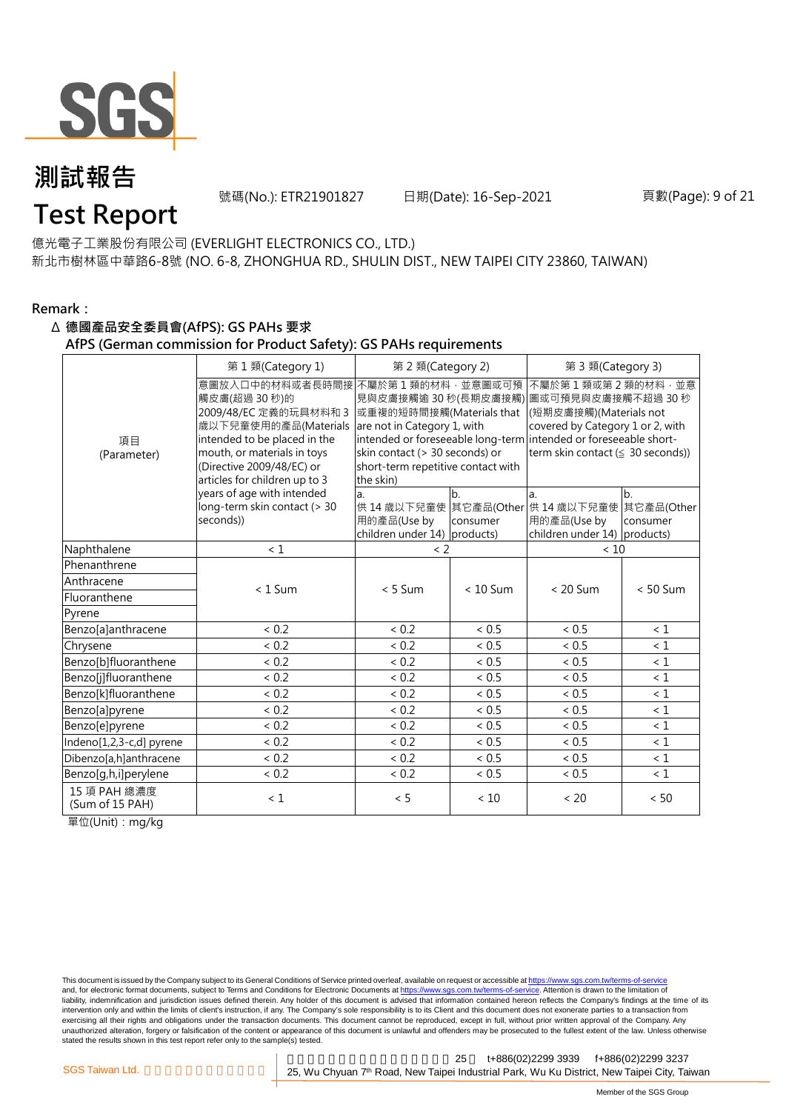

號碼(No.): ETR21901827 日期(Date): 16-Sep-2021

## **Test Report**

億光電子工業股份有限公司 (EVERLIGHT ELECTRONICS CO., LTD.) 新北市樹林區中華路6-8號 (NO. 6-8, ZHONGHUA RD., SHULIN DIST., NEW TAIPEI CITY 23860, TAIWAN)

#### **Remark:**

#### Δ **德國產品安全委員會(AfPS): GS PAHs 要求**

**AfPS (German commission for Product Safety): GS PAHs requirements**

|                                 | 第1類(Category 1)<br>第 2 類(Category 2)<br>第 3 類(Category 3)                                                                                                                                                     |                                                                                                                                                                  |                |                                                                                                                                                                                                                                          |                              |  |  |
|---------------------------------|---------------------------------------------------------------------------------------------------------------------------------------------------------------------------------------------------------------|------------------------------------------------------------------------------------------------------------------------------------------------------------------|----------------|------------------------------------------------------------------------------------------------------------------------------------------------------------------------------------------------------------------------------------------|------------------------------|--|--|
| 項目<br>(Parameter)               | 意圖放入口中的材料或者長時間接<br>觸皮膚(超過 30秒)的<br>2009/48/EC 定義的玩具材料和 3<br>歳以下兒童使用的產品(Materials<br>intended to be placed in the<br>mouth, or materials in toys<br>(Directive 2009/48/EC) or<br>articles for children up to 3 | 不屬於第1類的材料,並意圖或可預<br>或重複的短時間接觸(Materials that<br>are not in Category 1, with<br>skin contact (> 30 seconds) or<br>short-term repetitive contact with<br>the skin) |                | 不屬於第1類或第2類的材料,並意<br>見與皮膚接觸逾 30 秒(長期皮膚接觸) 圖或可預見與皮膚接觸不超過 30 秒<br>(短期皮膚接觸)(Materials not<br>covered by Category 1 or 2, with<br>intended or foreseeable long-term intended or foreseeable short-<br>term skin contact $( \leq 30$ seconds)) |                              |  |  |
|                                 | years of age with intended<br>long-term skin contact (> 30<br>seconds))                                                                                                                                       | a.<br>用的產品(Use by<br>children under 14) products)                                                                                                                | b.<br>consumer | la.<br>供 14 歳以下兒童使 其它產品(Other 供 14 歳以下兒童使<br>用的產品(Use by<br>children under 14) products)                                                                                                                                                 | b.<br>其它產品(Other<br>consumer |  |  |
| Naphthalene                     | < 1                                                                                                                                                                                                           | $\langle$ 2                                                                                                                                                      |                | < 10                                                                                                                                                                                                                                     |                              |  |  |
| Phenanthrene                    |                                                                                                                                                                                                               |                                                                                                                                                                  |                |                                                                                                                                                                                                                                          |                              |  |  |
| Anthracene                      | $< 1$ Sum                                                                                                                                                                                                     | $< 5$ Sum                                                                                                                                                        | $< 10$ Sum     | $< 20$ Sum                                                                                                                                                                                                                               | $< 50$ Sum                   |  |  |
| Fluoranthene                    |                                                                                                                                                                                                               |                                                                                                                                                                  |                |                                                                                                                                                                                                                                          |                              |  |  |
| Pyrene                          |                                                                                                                                                                                                               |                                                                                                                                                                  |                |                                                                                                                                                                                                                                          |                              |  |  |
| Benzo[a]anthracene              | < 0.2                                                                                                                                                                                                         | < 0.2                                                                                                                                                            | < 0.5          | < 0.5                                                                                                                                                                                                                                    | < 1                          |  |  |
| Chrysene                        | < 0.2                                                                                                                                                                                                         | < 0.2                                                                                                                                                            | < 0.5          | < 0.5                                                                                                                                                                                                                                    | $\leq 1$                     |  |  |
| Benzo[b]fluoranthene            | < 0.2                                                                                                                                                                                                         | < 0.2                                                                                                                                                            | < 0.5          | < 0.5                                                                                                                                                                                                                                    | $\leq 1$                     |  |  |
| Benzo[j]fluoranthene            | < 0.2                                                                                                                                                                                                         | < 0.2                                                                                                                                                            | < 0.5          | < 0.5                                                                                                                                                                                                                                    | < 1                          |  |  |
| Benzo[k]fluoranthene            | < 0.2                                                                                                                                                                                                         | < 0.2                                                                                                                                                            | ~< 0.5         | ${}< 0.5$                                                                                                                                                                                                                                | $\leq 1$                     |  |  |
| Benzo[a]pyrene                  | < 0.2                                                                                                                                                                                                         | < 0.2                                                                                                                                                            | < 0.5          | < 0.5                                                                                                                                                                                                                                    | $\leq 1$                     |  |  |
| Benzo[e]pyrene                  | < 0.2                                                                                                                                                                                                         | < 0.2                                                                                                                                                            | < 0.5          | < 0.5                                                                                                                                                                                                                                    | $\leq 1$                     |  |  |
| Indeno[1,2,3-c,d] pyrene        | < 0.2                                                                                                                                                                                                         | < 0.2                                                                                                                                                            | < 0.5          | < 0.5                                                                                                                                                                                                                                    | $\leq 1$                     |  |  |
| Dibenzo[a,h]anthracene          | < 0.2                                                                                                                                                                                                         | < 0.2                                                                                                                                                            | ~< 0.5         | < 0.5                                                                                                                                                                                                                                    | $\leq 1$                     |  |  |
| Benzo[g,h,i]perylene            | < 0.2                                                                                                                                                                                                         | < 0.2                                                                                                                                                            | ${}< 0.5$      | < 0.5                                                                                                                                                                                                                                    | $\leq 1$                     |  |  |
| 15 項 PAH 總濃度<br>(Sum of 15 PAH) | $\leq 1$                                                                                                                                                                                                      | < 5                                                                                                                                                              | < 10           | < 20                                                                                                                                                                                                                                     | < 50                         |  |  |

單位(Unit):mg/kg

This document is issued by the Company subject to its General Conditions of Service printed overleaf, available on request or accessible at https://www.sgs.com.tw/terms-of-service and, for electronic format documents, subject to Terms and Conditions for Electronic Documents at https://www.sgs.com.tw/terms-of-service. Attention is drawn to the limitation of liability, indemnification and jurisdiction issues defined therein. Any holder of this document is advised that information contained hereon reflects the Company's findings at the time of its intervention only and within the limits of client's instruction, if any. The Company's sole responsibility is to its Client and this document does not exonerate parties to a transaction from exercising all their rights and obligations under the transaction documents. This document cannot be reproduced, except in full, without prior written approval of the Company. Any<br>unauthorized alteration, forgery or falsif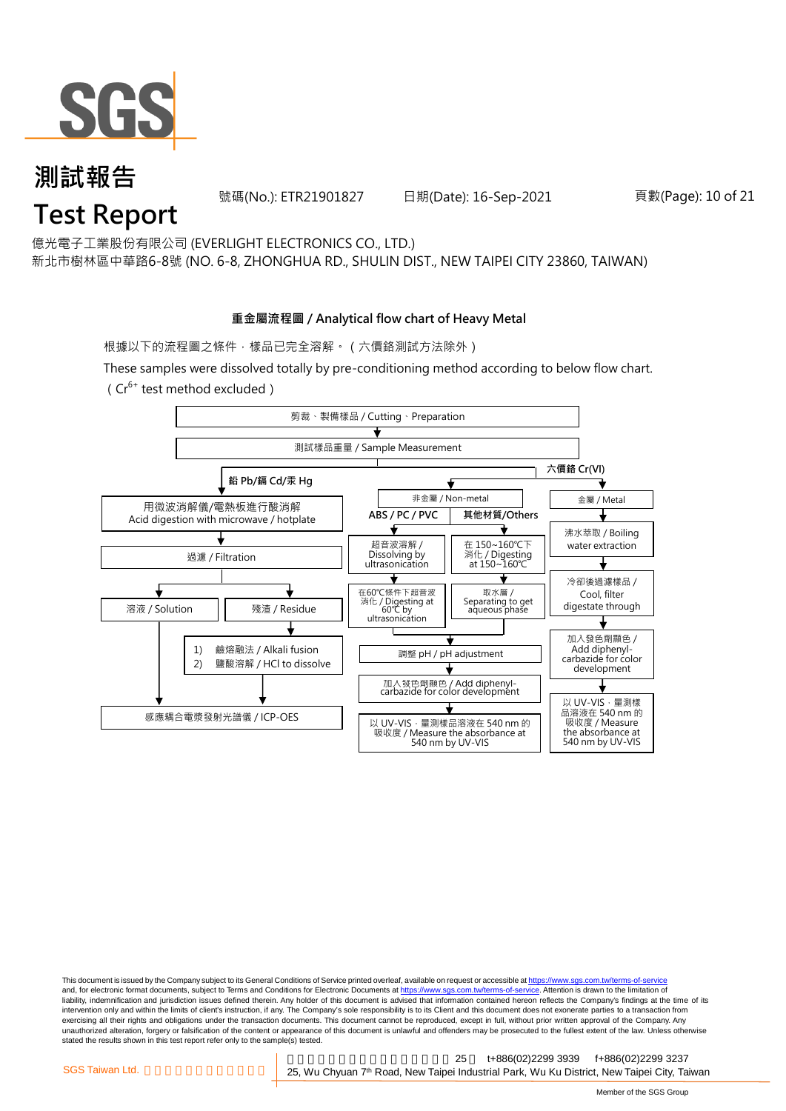

號碼(No.): ETR21901827 日期(Date): 16-Sep-2021

#### 頁數(Page): 10 of 21

億光電子工業股份有限公司 (EVERLIGHT ELECTRONICS CO., LTD.)

新北市樹林區中華路6-8號 (NO. 6-8, ZHONGHUA RD., SHULIN DIST., NEW TAIPEI CITY 23860, TAIWAN)

#### **重金屬流程圖 / Analytical flow chart of Heavy Metal**

根據以下的流程圖之條件,樣品已完全溶解。(六價鉻測試方法除外)

These samples were dissolved totally by pre-conditioning method according to below flow chart.  $(Cr^{6+}$  test method excluded)



This document is issued by the Company subject to its General Conditions of Service printed overleaf, available on request or accessible at https://www.sgs.com.tw/terms-of-service and, for electronic format documents, subject to Terms and Conditions for Electronic Documents at https://www.sgs.com.tw/terms-of-service. Attention is drawn to the limitation of liability, indemnification and jurisdiction issues defined therein. Any holder of this document is advised that information contained hereon reflects the Company's findings at the time of its intervention only and within the limits of client's instruction, if any. The Company's sole responsibility is to its Client and this document does not exonerate parties to a transaction from exercising all their rights and obligations under the transaction documents. This document cannot be reproduced, except in full, without prior written approval of the Company. Any<br>unauthorized alteration, forgery or falsif stated the results shown in this test report refer only to the sample(s) tested.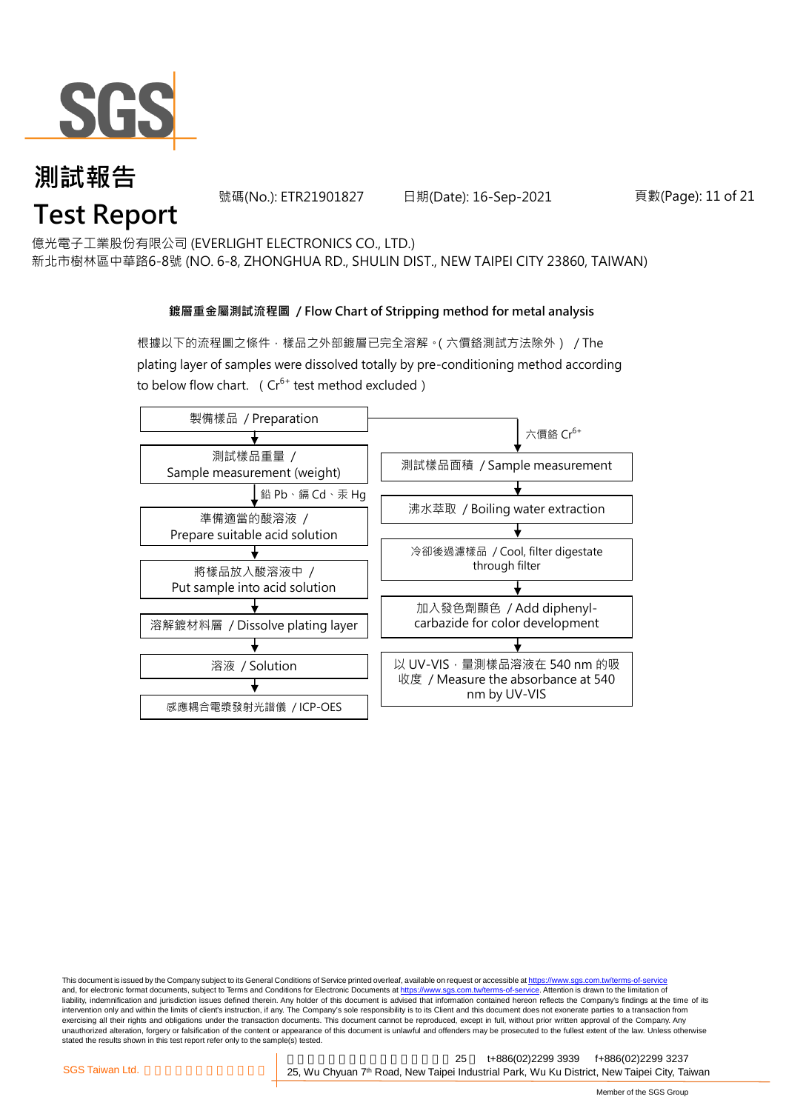

號碼(No.): ETR21901827 日期(Date): 16-Sep-2021

頁數(Page): 11 of 21

億光電子工業股份有限公司 (EVERLIGHT ELECTRONICS CO., LTD.)

新北市樹林區中華路6-8號 (NO. 6-8, ZHONGHUA RD., SHULIN DIST., NEW TAIPEI CITY 23860, TAIWAN)

#### **鍍層重金屬測試流程圖 / Flow Chart of Stripping method for metal analysis**

根據以下的流程圖之條件,樣品之外部鍍層已完全溶解。(六價鉻測試方法除外) / The plating layer of samples were dissolved totally by pre-conditioning method according to below flow chart. ( $Cr^{6+}$  test method excluded)



This document is issued by the Company subject to its General Conditions of Service printed overleaf, available on request or accessible at https://www.sgs.com.tw/terms-of-service and, for electronic format documents, subject to Terms and Conditions for Electronic Documents at https://www.sgs.com.tw/terms-of-service. Attention is drawn to the limitation of liability, indemnification and jurisdiction issues defined therein. Any holder of this document is advised that information contained hereon reflects the Company's findings at the time of its intervention only and within the limits of client's instruction, if any. The Company's sole responsibility is to its Client and this document does not exonerate parties to a transaction from exercising all their rights and obligations under the transaction documents. This document cannot be reproduced, except in full, without prior written approval of the Company. Any<br>unauthorized alteration, forgery or falsif stated the results shown in this test report refer only to the sample(s) tested.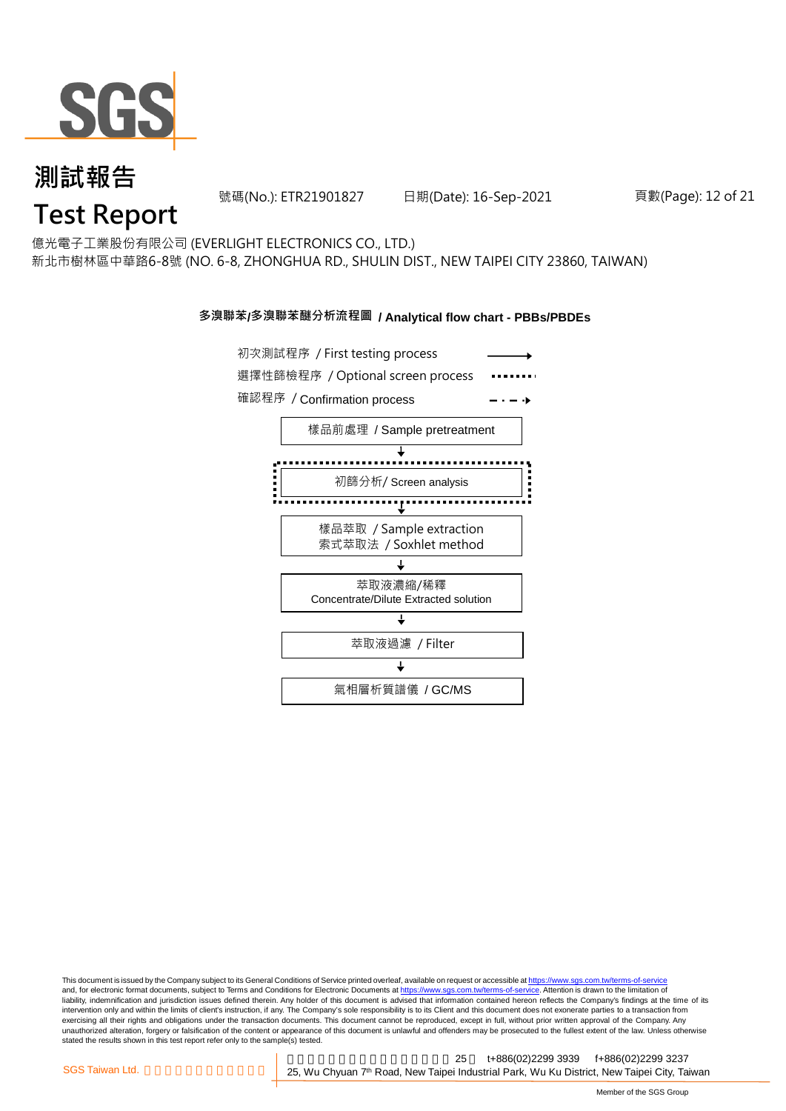

號碼(No.): ETR21901827 日期(Date): 16-Sep-2021

#### 頁數(Page): 12 of 21

億光電子工業股份有限公司 (EVERLIGHT ELECTRONICS CO., LTD.) 新北市樹林區中華路6-8號 (NO. 6-8, ZHONGHUA RD., SHULIN DIST., NEW TAIPEI CITY 23860, TAIWAN)

#### **多溴聯苯/多溴聯苯醚分析流程圖 / Analytical flow chart - PBBs/PBDEs**



This document is issued by the Company subject to its General Conditions of Service printed overleaf, available on request or accessible at https://www.sgs.com.tw/terms-of-service and, for electronic format documents, subject to Terms and Conditions for Electronic Documents at https://www.sgs.com.tw/terms-of-service. Attention is drawn to the limitation of liability, indemnification and jurisdiction issues defined therein. Any holder of this document is advised that information contained hereon reflects the Company's findings at the time of its intervention only and within the limits of client's instruction, if any. The Company's sole responsibility is to its Client and this document does not exonerate parties to a transaction from exercising all their rights and obligations under the transaction documents. This document cannot be reproduced, except in full, without prior written approval of the Company. Any<br>unauthorized alteration, forgery or falsif stated the results shown in this test report refer only to the sample(s) tested.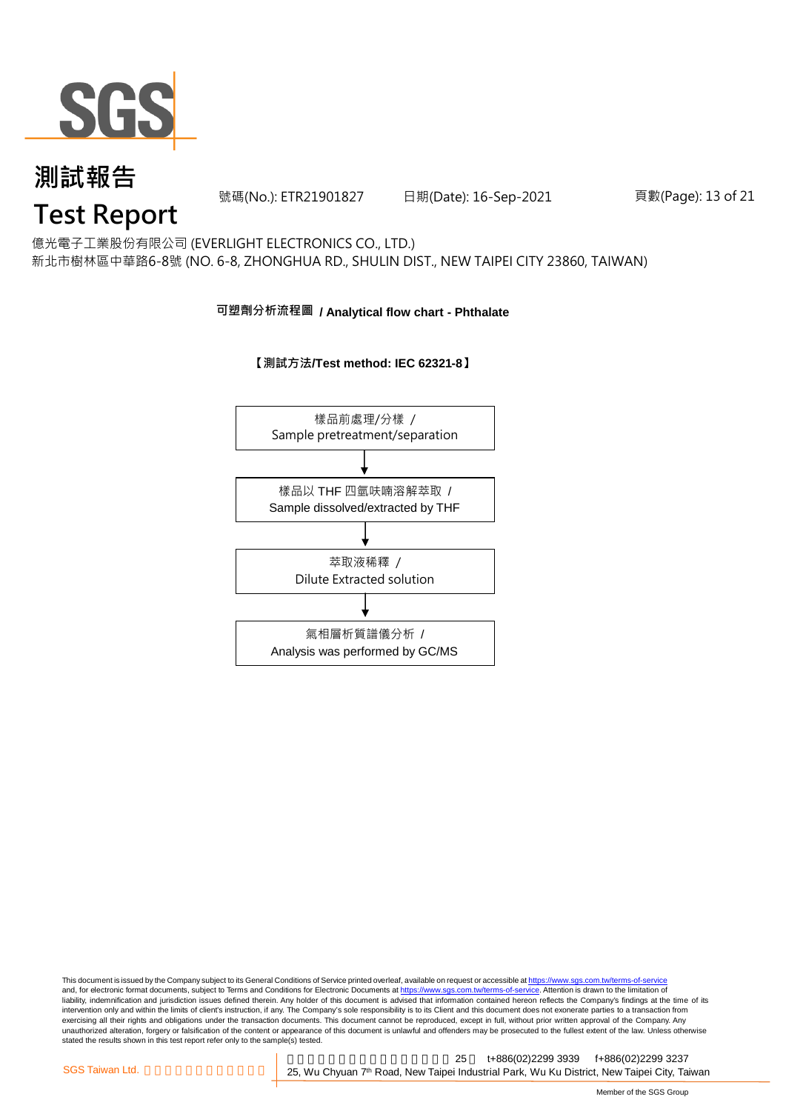

號碼(No.): ETR21901827 日期(Date): 16-Sep-2021

#### 頁數(Page): 13 of 21

# **Test Report**

億光電子工業股份有限公司 (EVERLIGHT ELECTRONICS CO., LTD.) 新北市樹林區中華路6-8號 (NO. 6-8, ZHONGHUA RD., SHULIN DIST., NEW TAIPEI CITY 23860, TAIWAN)

#### **可塑劑分析流程圖 / Analytical flow chart - Phthalate**

#### **【測試方法/Test method: IEC 62321-8】**



This document is issued by the Company subject to its General Conditions of Service printed overleaf, available on request or accessible at <u>https://www.sgs.com.tw/terms-of-service</u><br>and, for electronic format documents, su liability, indemnification and jurisdiction issues defined therein. Any holder of this document is advised that information contained hereon reflects the Company's findings at the time of its intervention only and within the limits of client's instruction, if any. The Company's sole responsibility is to its Client and this document does not exonerate parties to a transaction from exercising all their rights and obligations under the transaction documents. This document cannot be reproduced, except in full, without prior written approval of the Company. Any<br>unauthorized alteration, forgery or falsif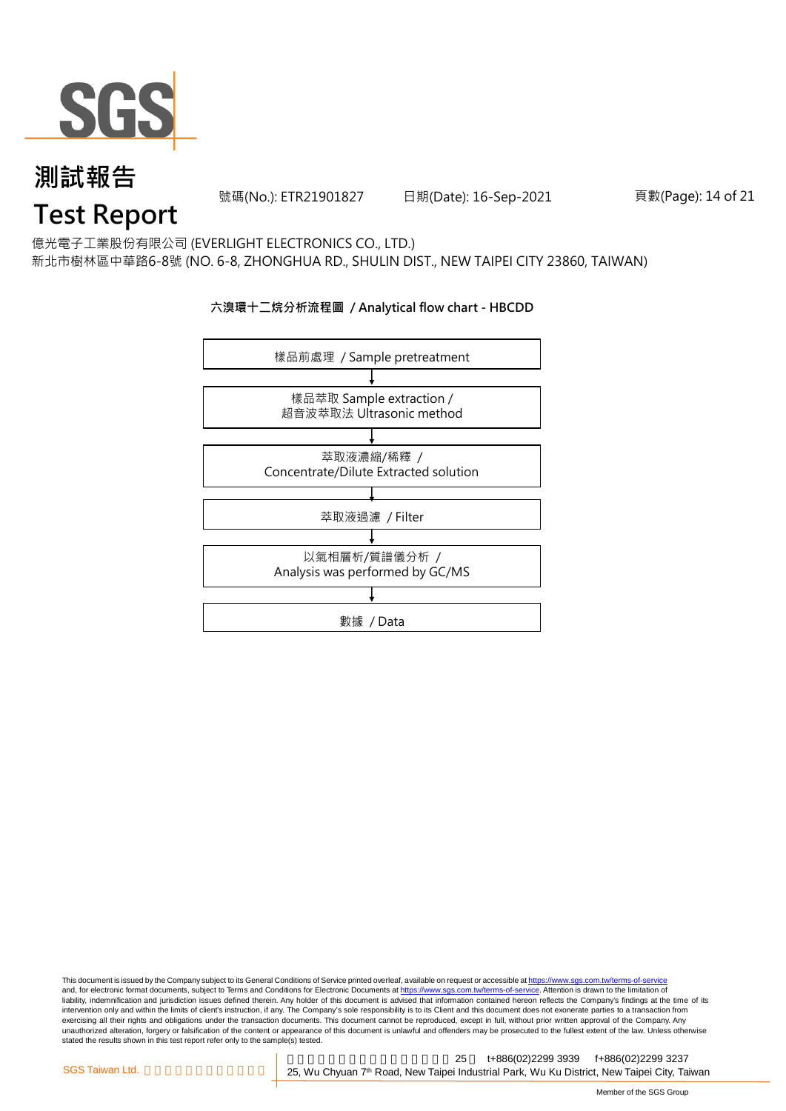

號碼(No.): ETR21901827 日期(Date): 16-Sep-2021

頁數(Page): 14 of 21

## **Test Report**

億光電子工業股份有限公司 (EVERLIGHT ELECTRONICS CO., LTD.) 新北市樹林區中華路6-8號 (NO. 6-8, ZHONGHUA RD., SHULIN DIST., NEW TAIPEI CITY 23860, TAIWAN)

#### **六溴環十二烷分析流程圖 / Analytical flow chart - HBCDD**



This document is issued by the Company subject to its General Conditions of Service printed overleaf, available on request or accessible at <u>https://www.sgs.com.tw/terms-of-service</u><br>and, for electronic format documents, su liability, indemnification and jurisdiction issues defined therein. Any holder of this document is advised that information contained hereon reflects the Company's findings at the time of its intervention only and within the limits of client's instruction, if any. The Company's sole responsibility is to its Client and this document does not exonerate parties to a transaction from exercising all their rights and obligations under the transaction documents. This document cannot be reproduced, except in full, without prior written approval of the Company. Any<br>unauthorized alteration, forgery or falsif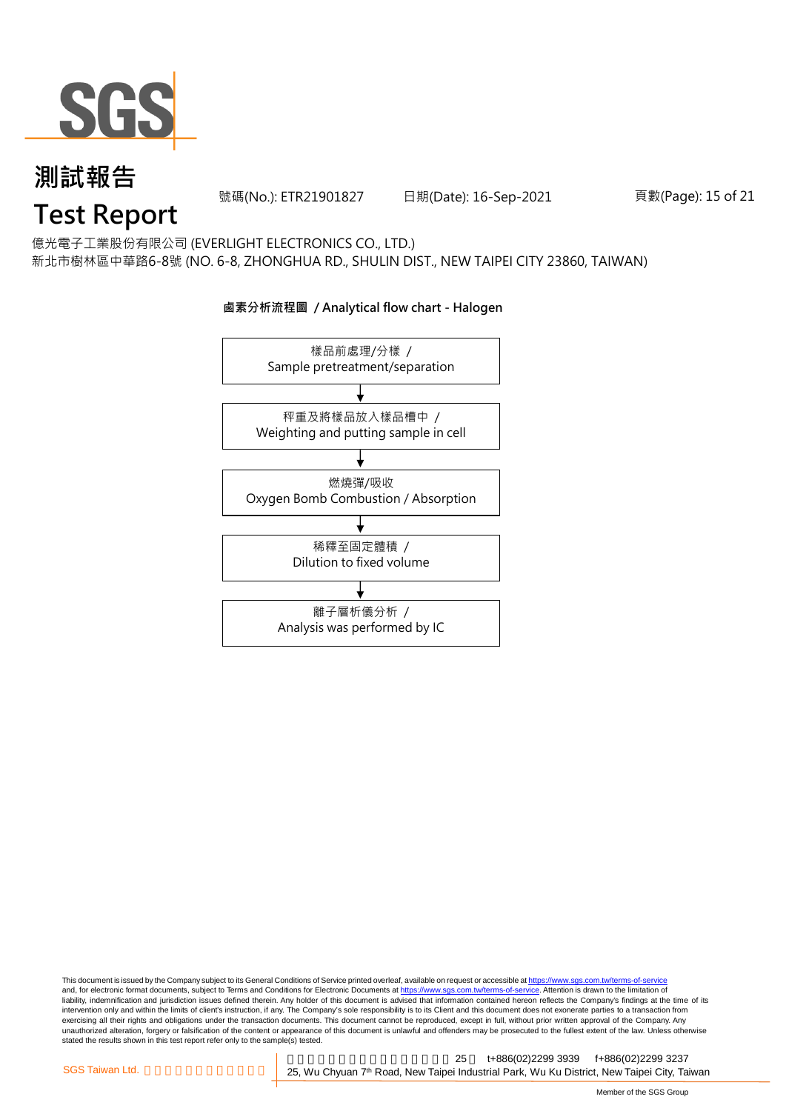

號碼(No.): ETR21901827 日期(Date): 16-Sep-2021

頁數(Page): 15 of 21

# **Test Report**

億光電子工業股份有限公司 (EVERLIGHT ELECTRONICS CO., LTD.) 新北市樹林區中華路6-8號 (NO. 6-8, ZHONGHUA RD., SHULIN DIST., NEW TAIPEI CITY 23860, TAIWAN)

## 樣品前處理/分樣 / Sample pretreatment/separation 秤重及將樣品放入樣品槽中 / Weighting and putting sample in cell 燃燒彈/吸收 Oxygen Bomb Combustion / Absorption 離子層析儀分析 / Analysis was performed by IC 稀釋至固定體積 / Dilution to fixed volume

**鹵素分析流程圖 / Analytical flow chart - Halogen**

This document is issued by the Company subject to its General Conditions of Service printed overleaf, available on request or accessible at <u>https://www.sgs.com.tw/terms-of-service</u><br>and, for electronic format documents, su liability, indemnification and jurisdiction issues defined therein. Any holder of this document is advised that information contained hereon reflects the Company's findings at the time of its intervention only and within the limits of client's instruction, if any. The Company's sole responsibility is to its Client and this document does not exonerate parties to a transaction from exercising all their rights and obligations under the transaction documents. This document cannot be reproduced, except in full, without prior written approval of the Company. Any<br>unauthorized alteration, forgery or falsif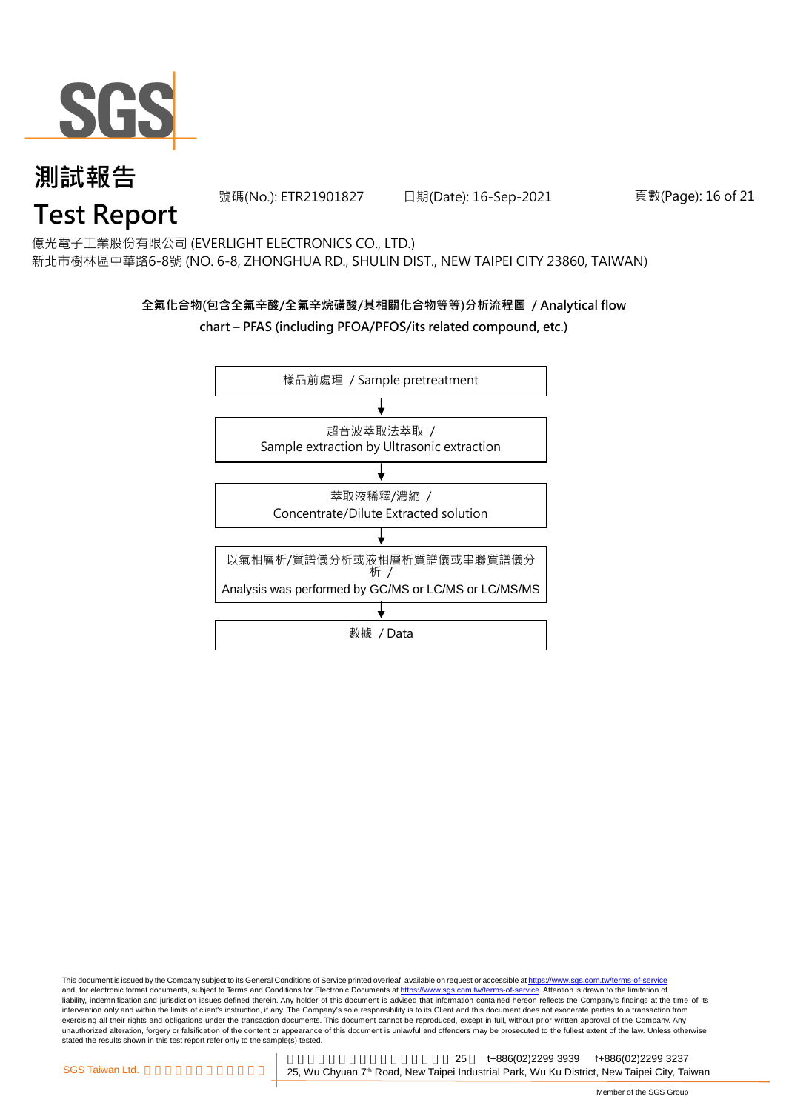

號碼(No.): ETR21901827 日期(Date): 16-Sep-2021

頁數(Page): 16 of 21

# **Test Report**

億光電子工業股份有限公司 (EVERLIGHT ELECTRONICS CO., LTD.) 新北市樹林區中華路6-8號 (NO. 6-8, ZHONGHUA RD., SHULIN DIST., NEW TAIPEI CITY 23860, TAIWAN)

#### **全氟化合物(包含全氟辛酸/全氟辛烷磺酸/其相關化合物等等)分析流程圖 / Analytical flow chart – PFAS (including PFOA/PFOS/its related compound, etc.)**



This document is issued by the Company subject to its General Conditions of Service printed overleaf, available on request or accessible at https://www.sgs.com.tw/terms-of-service and, for electronic format documents, subject to Terms and Conditions for Electronic Documents at https://www.sgs.com.tw/terms-of-service. Attention is drawn to the limitation of liability, indemnification and jurisdiction issues defined therein. Any holder of this document is advised that information contained hereon reflects the Company's findings at the time of its intervention only and within the limits of client's instruction, if any. The Company's sole responsibility is to its Client and this document does not exonerate parties to a transaction from exercising all their rights and obligations under the transaction documents. This document cannot be reproduced, except in full, without prior written approval of the Company. Any<br>unauthorized alteration, forgery or falsif stated the results shown in this test report refer only to the sample(s) tested.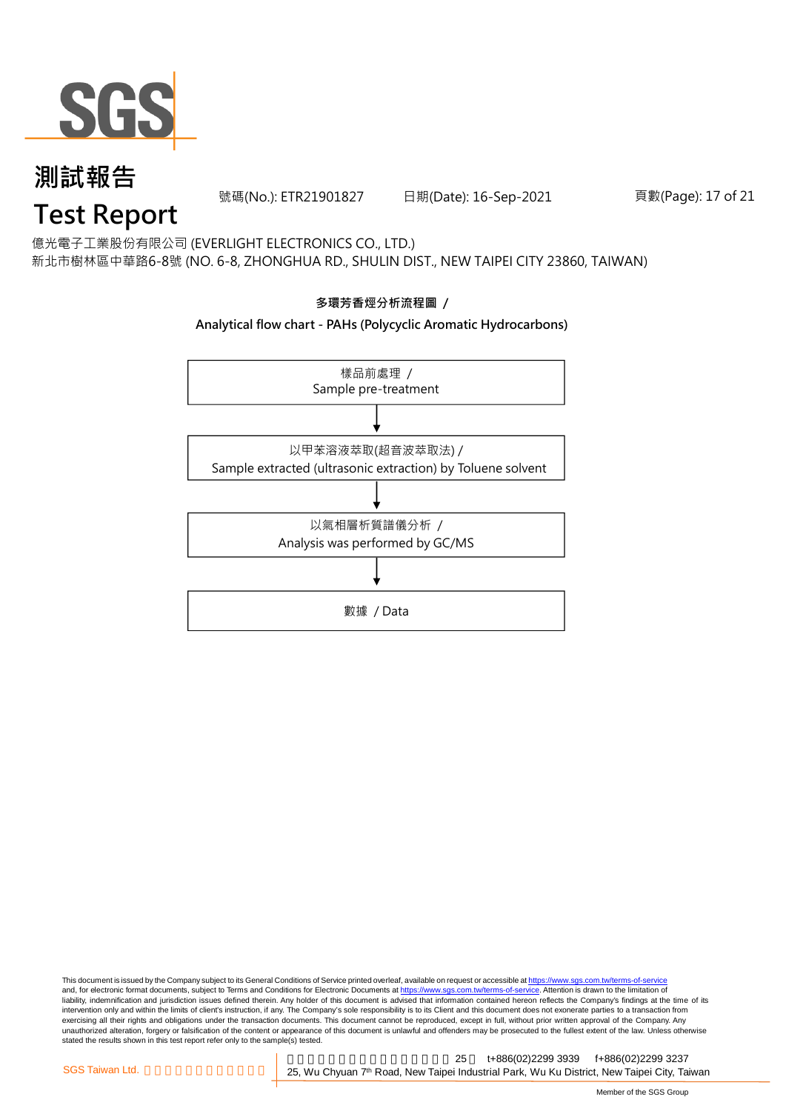

號碼(No.): ETR21901827 日期(Date): 16-Sep-2021

頁數(Page): 17 of 21

# **Test Report**

億光電子工業股份有限公司 (EVERLIGHT ELECTRONICS CO., LTD.) 新北市樹林區中華路6-8號 (NO. 6-8, ZHONGHUA RD., SHULIN DIST., NEW TAIPEI CITY 23860, TAIWAN)



This document is issued by the Company subject to its General Conditions of Service printed overleaf, available on request or accessible at <u>https://www.sgs.com.tw/terms-of-service</u><br>and, for electronic format documents, su liability, indemnification and jurisdiction issues defined therein. Any holder of this document is advised that information contained hereon reflects the Company's findings at the time of its intervention only and within the limits of client's instruction, if any. The Company's sole responsibility is to its Client and this document does not exonerate parties to a transaction from exercising all their rights and obligations under the transaction documents. This document cannot be reproduced, except in full, without prior written approval of the Company. Any<br>unauthorized alteration, forgery or falsif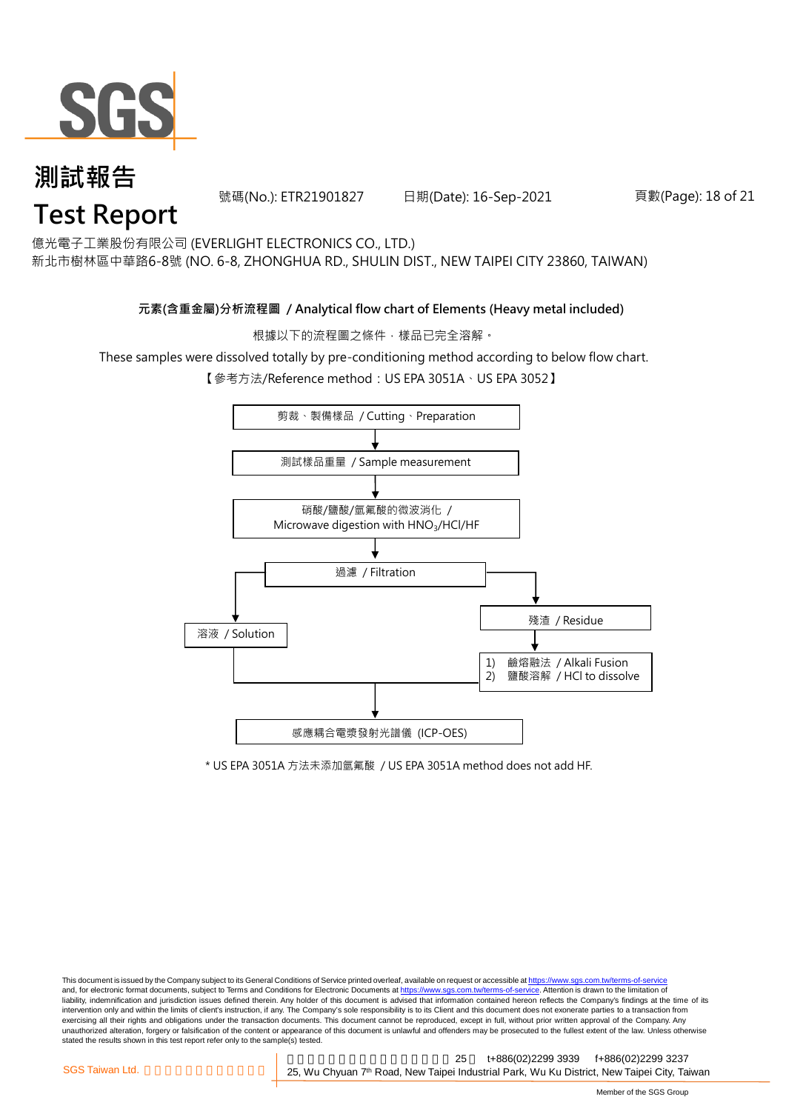

號碼(No.): ETR21901827 日期(Date): 16-Sep-2021

#### 頁數(Page): 18 of 21

億光電子工業股份有限公司 (EVERLIGHT ELECTRONICS CO., LTD.)

新北市樹林區中華路6-8號 (NO. 6-8, ZHONGHUA RD., SHULIN DIST., NEW TAIPEI CITY 23860, TAIWAN)

#### **元素(含重金屬)分析流程圖 / Analytical flow chart of Elements (Heavy metal included)**

根據以下的流程圖之條件,樣品已完全溶解。

These samples were dissolved totally by pre-conditioning method according to below flow chart.

【參考方法/Reference method: US EPA 3051A、US EPA 3052】



\* US EPA 3051A 方法未添加氫氟酸 / US EPA 3051A method does not add HF.

This document is issued by the Company subject to its General Conditions of Service printed overleaf, available on request or accessible at https://www.sgs.com.tw/terms-of-service and, for electronic format documents, subject to Terms and Conditions for Electronic Documents at https://www.sgs.com.tw/terms-of-service. Attention is drawn to the limitation of liability, indemnification and jurisdiction issues defined therein. Any holder of this document is advised that information contained hereon reflects the Company's findings at the time of its intervention only and within the limits of client's instruction, if any. The Company's sole responsibility is to its Client and this document does not exonerate parties to a transaction from exercising all their rights and obligations under the transaction documents. This document cannot be reproduced, except in full, without prior written approval of the Company. Any<br>unauthorized alteration, forgery or falsif stated the results shown in this test report refer only to the sample(s) tested.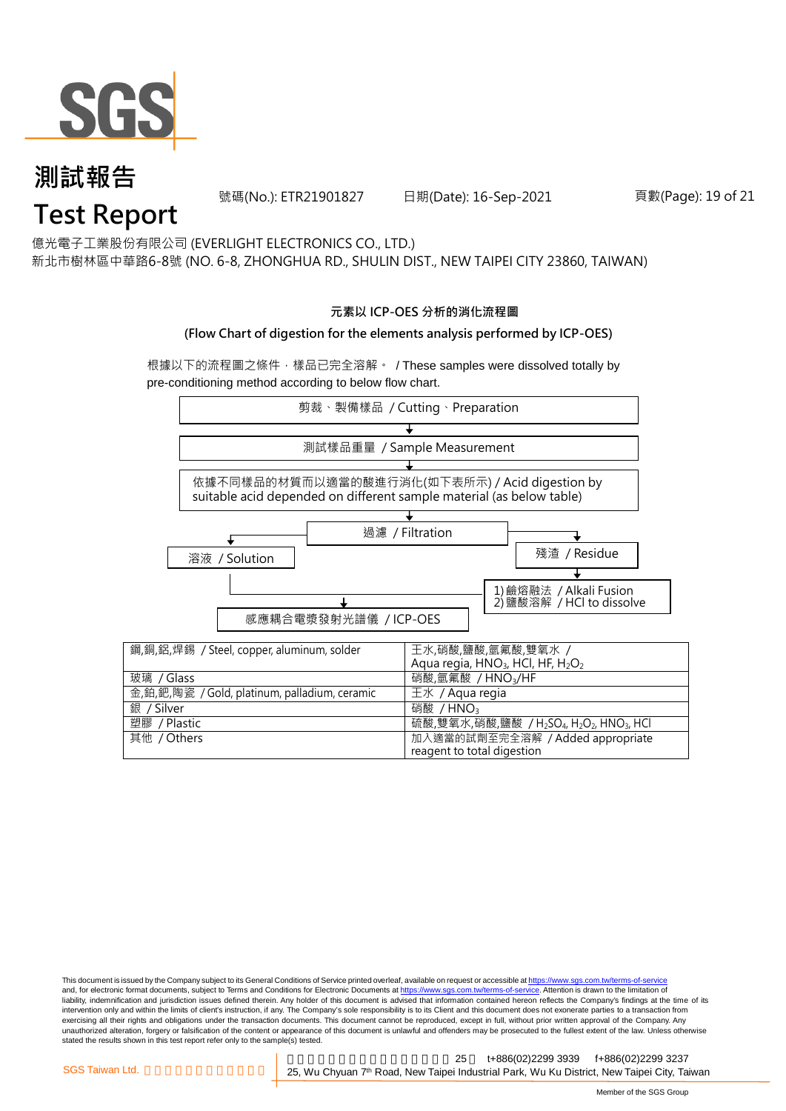

號碼(No.): ETR21901827 日期(Date): 16-Sep-2021

#### 頁數(Page): 19 of 21

億光電子工業股份有限公司 (EVERLIGHT ELECTRONICS CO., LTD.)

新北市樹林區中華路6-8號 (NO. 6-8, ZHONGHUA RD., SHULIN DIST., NEW TAIPEI CITY 23860, TAIWAN)

#### **元素以 ICP-OES 分析的消化流程圖**

#### **(Flow Chart of digestion for the elements analysis performed by ICP-OES)**

根據以下的流程圖之條件,樣品已完全溶解。 / These samples were dissolved totally by pre-conditioning method according to below flow chart.



This document is issued by the Company subject to its General Conditions of Service printed overleaf, available on request or accessible at https://www.sgs.com.tw/terms-of-service and, for electronic format documents, subject to Terms and Conditions for Electronic Documents at https://www.sgs.com.tw/terms-of-service. Attention is drawn to the limitation of liability, indemnification and jurisdiction issues defined therein. Any holder of this document is advised that information contained hereon reflects the Company's findings at the time of its intervention only and within the limits of client's instruction, if any. The Company's sole responsibility is to its Client and this document does not exonerate parties to a transaction from exercising all their rights and obligations under the transaction documents. This document cannot be reproduced, except in full, without prior written approval of the Company. Any<br>unauthorized alteration, forgery or falsif stated the results shown in this test report refer only to the sample(s) tested.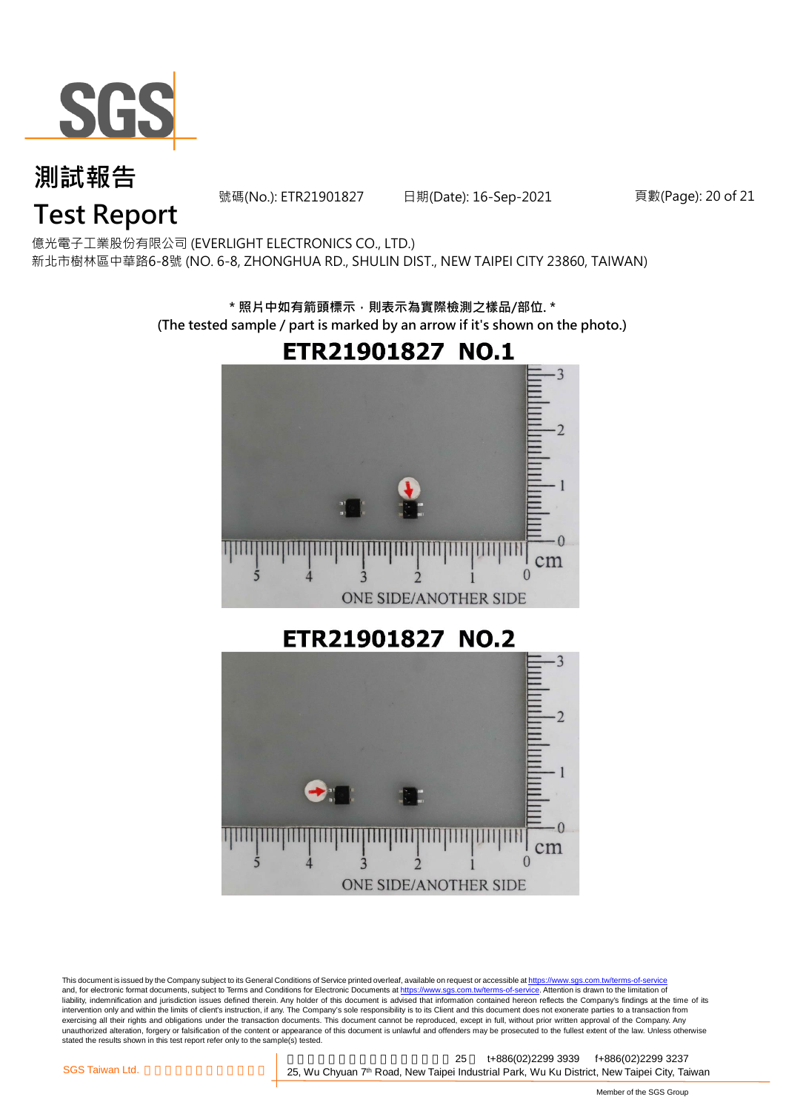

號碼(No.): ETR21901827 日期(Date): 16-Sep-2021

頁數(Page): 20 of 21

# **Test Report**

億光電子工業股份有限公司 (EVERLIGHT ELECTRONICS CO., LTD.) 新北市樹林區中華路6-8號 (NO. 6-8, ZHONGHUA RD., SHULIN DIST., NEW TAIPEI CITY 23860, TAIWAN)

> **\* 照片中如有箭頭標示,則表示為實際檢測之樣品/部位. \* (The tested sample / part is marked by an arrow if it's shown on the photo.)**



This document is issued by the Company subject to its General Conditions of Service printed overleaf, available on request or accessible at <u>https://www.sgs.com.tw/terms-of-service</u><br>and, for electronic format documents, su liability, indemnification and jurisdiction issues defined therein. Any holder of this document is advised that information contained hereon reflects the Company's findings at the time of its intervention only and within the limits of client's instruction, if any. The Company's sole responsibility is to its Client and this document does not exonerate parties to a transaction from exercising all their rights and obligations under the transaction documents. This document cannot be reproduced, except in full, without prior written approval of the Company. Any<br>unauthorized alteration, forgery or falsif stated the results shown in this test report refer only to the sample(s) tested.